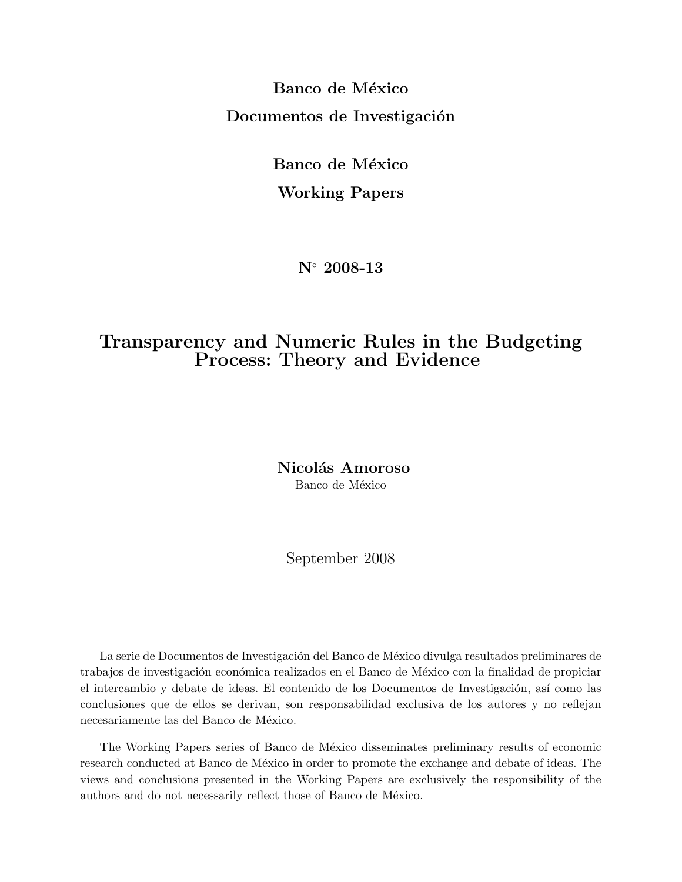Banco de México Documentos de Investigación

> Banco de México Working Papers

> > N◦ 2008-13

# Transparency and Numeric Rules in the Budgeting Process: Theory and Evidence

Nicolás Amoroso Banco de México

September 2008

La serie de Documentos de Investigación del Banco de México divulga resultados preliminares de trabajos de investigación económica realizados en el Banco de México con la finalidad de propiciar el intercambio y debate de ideas. El contenido de los Documentos de Investigación, así como las conclusiones que de ellos se derivan, son responsabilidad exclusiva de los autores y no reflejan necesariamente las del Banco de México.

The Working Papers series of Banco de México disseminates preliminary results of economic research conducted at Banco de México in order to promote the exchange and debate of ideas. The views and conclusions presented in the Working Papers are exclusively the responsibility of the authors and do not necessarily reflect those of Banco de México.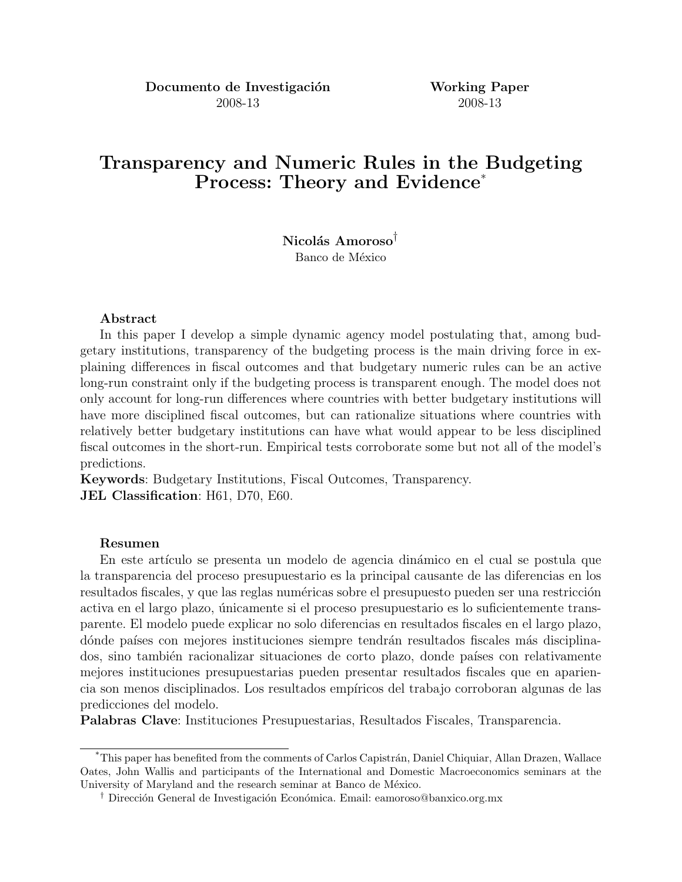Documento de Investigación Working Paper 2008-13 2008-13

# Transparency and Numeric Rules in the Budgeting Process: Theory and Evidence<sup>\*</sup>

Nicolás Amoroso<sup>†</sup> Banco de México

#### Abstract

In this paper I develop a simple dynamic agency model postulating that, among budgetary institutions, transparency of the budgeting process is the main driving force in explaining differences in fiscal outcomes and that budgetary numeric rules can be an active long-run constraint only if the budgeting process is transparent enough. The model does not only account for long-run differences where countries with better budgetary institutions will have more disciplined fiscal outcomes, but can rationalize situations where countries with relatively better budgetary institutions can have what would appear to be less disciplined fiscal outcomes in the short-run. Empirical tests corroborate some but not all of the model's predictions.

Keywords: Budgetary Institutions, Fiscal Outcomes, Transparency. JEL Classification: H61, D70, E60.

#### Resumen

En este artículo se presenta un modelo de agencia dinámico en el cual se postula que la transparencia del proceso presupuestario es la principal causante de las diferencias en los resultados fiscales, y que las reglas numéricas sobre el presupuesto pueden ser una restricción activa en el largo plazo, únicamente si el proceso presupuestario es lo suficientemente transparente. El modelo puede explicar no solo diferencias en resultados fiscales en el largo plazo, dónde países con mejores instituciones siempre tendrán resultados fiscales más disciplinados, sino también racionalizar situaciones de corto plazo, donde países con relativamente mejores instituciones presupuestarias pueden presentar resultados fiscales que en apariencia son menos disciplinados. Los resultados emp´ıricos del trabajo corroboran algunas de las predicciones del modelo.

Palabras Clave: Instituciones Presupuestarias, Resultados Fiscales, Transparencia.

<sup>&</sup>lt;sup>\*</sup>This paper has benefited from the comments of Carlos Capistrán, Daniel Chiquiar, Allan Drazen, Wallace Oates, John Wallis and participants of the International and Domestic Macroeconomics seminars at the University of Maryland and the research seminar at Banco de México.

<sup>&</sup>lt;sup>†</sup> Dirección General de Investigación Económica. Email: eamoroso@banxico.org.mx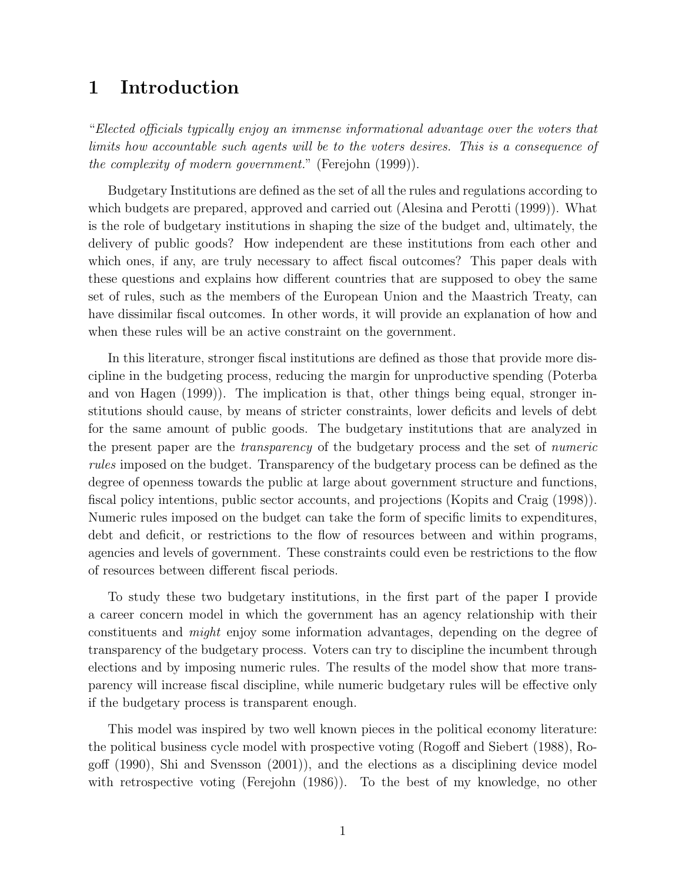# 1 Introduction

"Elected officials typically enjoy an immense informational advantage over the voters that limits how accountable such agents will be to the voters desires. This is a consequence of the complexity of modern government." (Ferejohn (1999)).

Budgetary Institutions are defined as the set of all the rules and regulations according to which budgets are prepared, approved and carried out (Alesina and Perotti (1999)). What is the role of budgetary institutions in shaping the size of the budget and, ultimately, the delivery of public goods? How independent are these institutions from each other and which ones, if any, are truly necessary to affect fiscal outcomes? This paper deals with these questions and explains how different countries that are supposed to obey the same set of rules, such as the members of the European Union and the Maastrich Treaty, can have dissimilar fiscal outcomes. In other words, it will provide an explanation of how and when these rules will be an active constraint on the government.

In this literature, stronger fiscal institutions are defined as those that provide more discipline in the budgeting process, reducing the margin for unproductive spending (Poterba and von Hagen (1999)). The implication is that, other things being equal, stronger institutions should cause, by means of stricter constraints, lower deficits and levels of debt for the same amount of public goods. The budgetary institutions that are analyzed in the present paper are the transparency of the budgetary process and the set of numeric rules imposed on the budget. Transparency of the budgetary process can be defined as the degree of openness towards the public at large about government structure and functions, fiscal policy intentions, public sector accounts, and projections (Kopits and Craig (1998)). Numeric rules imposed on the budget can take the form of specific limits to expenditures, debt and deficit, or restrictions to the flow of resources between and within programs, agencies and levels of government. These constraints could even be restrictions to the flow of resources between different fiscal periods.

To study these two budgetary institutions, in the first part of the paper I provide a career concern model in which the government has an agency relationship with their constituents and might enjoy some information advantages, depending on the degree of transparency of the budgetary process. Voters can try to discipline the incumbent through elections and by imposing numeric rules. The results of the model show that more transparency will increase fiscal discipline, while numeric budgetary rules will be effective only if the budgetary process is transparent enough.

This model was inspired by two well known pieces in the political economy literature: the political business cycle model with prospective voting (Rogoff and Siebert (1988), Rogoff (1990), Shi and Svensson (2001)), and the elections as a disciplining device model with retrospective voting (Ferejohn (1986)). To the best of my knowledge, no other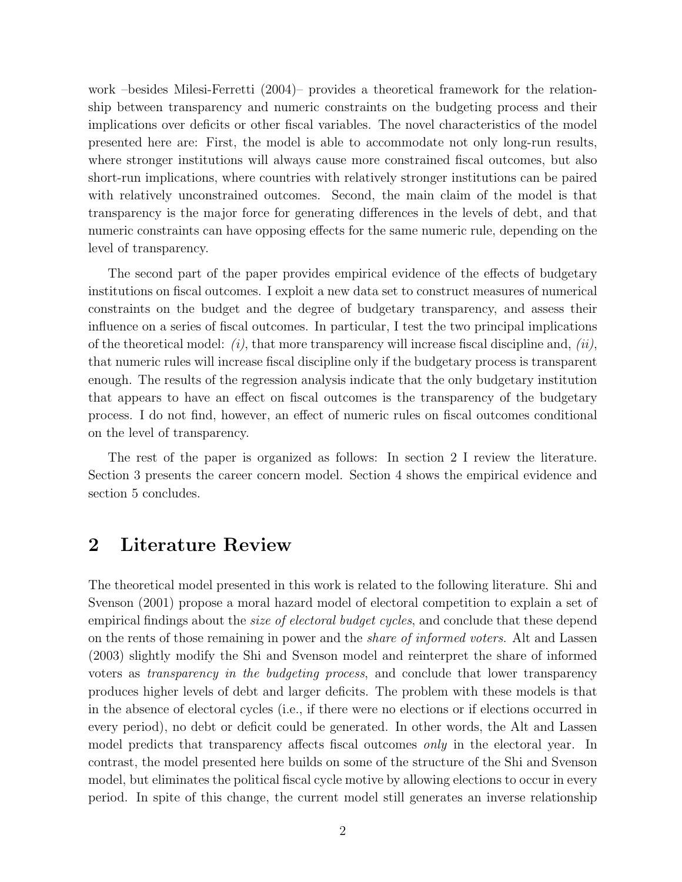work –besides Milesi-Ferretti (2004)– provides a theoretical framework for the relationship between transparency and numeric constraints on the budgeting process and their implications over deficits or other fiscal variables. The novel characteristics of the model presented here are: First, the model is able to accommodate not only long-run results, where stronger institutions will always cause more constrained fiscal outcomes, but also short-run implications, where countries with relatively stronger institutions can be paired with relatively unconstrained outcomes. Second, the main claim of the model is that transparency is the major force for generating differences in the levels of debt, and that numeric constraints can have opposing effects for the same numeric rule, depending on the level of transparency.

The second part of the paper provides empirical evidence of the effects of budgetary institutions on fiscal outcomes. I exploit a new data set to construct measures of numerical constraints on the budget and the degree of budgetary transparency, and assess their influence on a series of fiscal outcomes. In particular, I test the two principal implications of the theoretical model:  $(i)$ , that more transparency will increase fiscal discipline and,  $(ii)$ , that numeric rules will increase fiscal discipline only if the budgetary process is transparent enough. The results of the regression analysis indicate that the only budgetary institution that appears to have an effect on fiscal outcomes is the transparency of the budgetary process. I do not find, however, an effect of numeric rules on fiscal outcomes conditional on the level of transparency.

The rest of the paper is organized as follows: In section 2 I review the literature. Section 3 presents the career concern model. Section 4 shows the empirical evidence and section 5 concludes.

### 2 Literature Review

The theoretical model presented in this work is related to the following literature. Shi and Svenson (2001) propose a moral hazard model of electoral competition to explain a set of empirical findings about the *size of electoral budget cycles*, and conclude that these depend on the rents of those remaining in power and the share of informed voters. Alt and Lassen (2003) slightly modify the Shi and Svenson model and reinterpret the share of informed voters as transparency in the budgeting process, and conclude that lower transparency produces higher levels of debt and larger deficits. The problem with these models is that in the absence of electoral cycles (i.e., if there were no elections or if elections occurred in every period), no debt or deficit could be generated. In other words, the Alt and Lassen model predicts that transparency affects fiscal outcomes *only* in the electoral year. In contrast, the model presented here builds on some of the structure of the Shi and Svenson model, but eliminates the political fiscal cycle motive by allowing elections to occur in every period. In spite of this change, the current model still generates an inverse relationship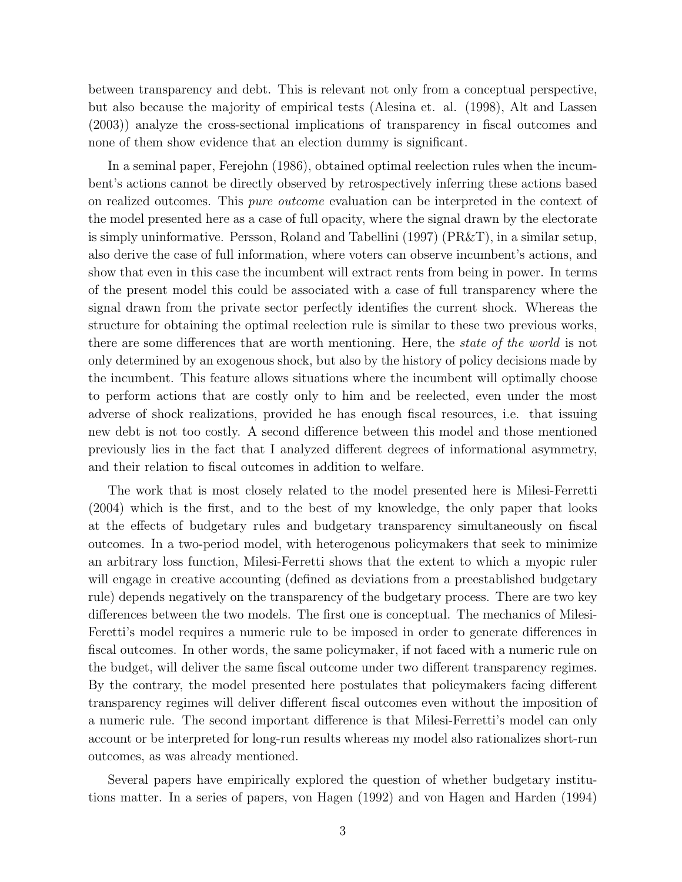between transparency and debt. This is relevant not only from a conceptual perspective, but also because the majority of empirical tests (Alesina et. al. (1998), Alt and Lassen (2003)) analyze the cross-sectional implications of transparency in fiscal outcomes and none of them show evidence that an election dummy is significant.

In a seminal paper, Ferejohn (1986), obtained optimal reelection rules when the incumbent's actions cannot be directly observed by retrospectively inferring these actions based on realized outcomes. This *pure outcome* evaluation can be interpreted in the context of the model presented here as a case of full opacity, where the signal drawn by the electorate is simply uninformative. Persson, Roland and Tabellini (1997) (PR&T), in a similar setup, also derive the case of full information, where voters can observe incumbent's actions, and show that even in this case the incumbent will extract rents from being in power. In terms of the present model this could be associated with a case of full transparency where the signal drawn from the private sector perfectly identifies the current shock. Whereas the structure for obtaining the optimal reelection rule is similar to these two previous works, there are some differences that are worth mentioning. Here, the state of the world is not only determined by an exogenous shock, but also by the history of policy decisions made by the incumbent. This feature allows situations where the incumbent will optimally choose to perform actions that are costly only to him and be reelected, even under the most adverse of shock realizations, provided he has enough fiscal resources, i.e. that issuing new debt is not too costly. A second difference between this model and those mentioned previously lies in the fact that I analyzed different degrees of informational asymmetry, and their relation to fiscal outcomes in addition to welfare.

The work that is most closely related to the model presented here is Milesi-Ferretti (2004) which is the first, and to the best of my knowledge, the only paper that looks at the effects of budgetary rules and budgetary transparency simultaneously on fiscal outcomes. In a two-period model, with heterogenous policymakers that seek to minimize an arbitrary loss function, Milesi-Ferretti shows that the extent to which a myopic ruler will engage in creative accounting (defined as deviations from a preestablished budgetary rule) depends negatively on the transparency of the budgetary process. There are two key differences between the two models. The first one is conceptual. The mechanics of Milesi-Feretti's model requires a numeric rule to be imposed in order to generate differences in fiscal outcomes. In other words, the same policymaker, if not faced with a numeric rule on the budget, will deliver the same fiscal outcome under two different transparency regimes. By the contrary, the model presented here postulates that policymakers facing different transparency regimes will deliver different fiscal outcomes even without the imposition of a numeric rule. The second important difference is that Milesi-Ferretti's model can only account or be interpreted for long-run results whereas my model also rationalizes short-run outcomes, as was already mentioned.

Several papers have empirically explored the question of whether budgetary institutions matter. In a series of papers, von Hagen (1992) and von Hagen and Harden (1994)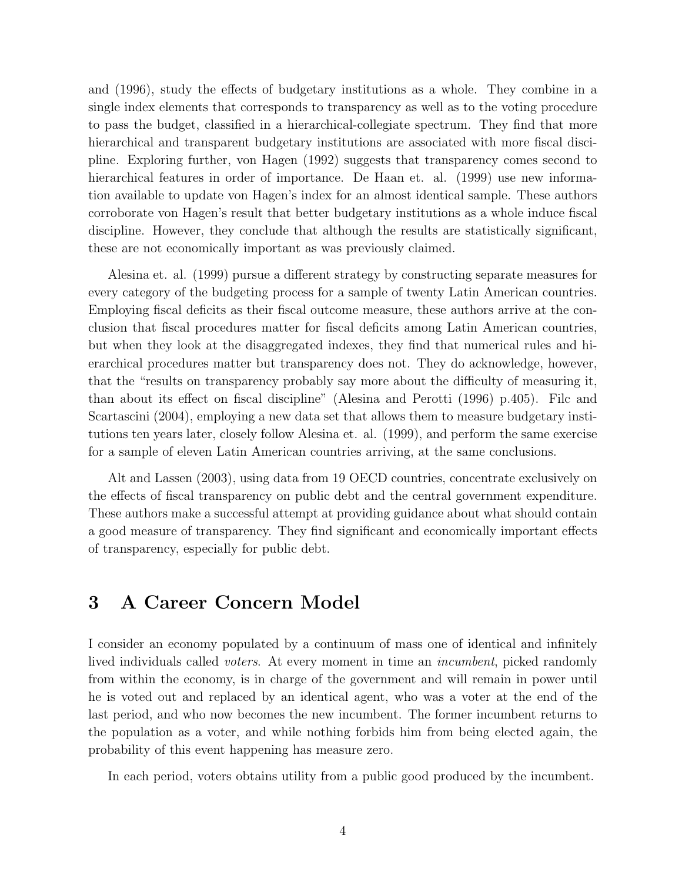and (1996), study the effects of budgetary institutions as a whole. They combine in a single index elements that corresponds to transparency as well as to the voting procedure to pass the budget, classified in a hierarchical-collegiate spectrum. They find that more hierarchical and transparent budgetary institutions are associated with more fiscal discipline. Exploring further, von Hagen (1992) suggests that transparency comes second to hierarchical features in order of importance. De Haan et. al. (1999) use new information available to update von Hagen's index for an almost identical sample. These authors corroborate von Hagen's result that better budgetary institutions as a whole induce fiscal discipline. However, they conclude that although the results are statistically significant, these are not economically important as was previously claimed.

Alesina et. al. (1999) pursue a different strategy by constructing separate measures for every category of the budgeting process for a sample of twenty Latin American countries. Employing fiscal deficits as their fiscal outcome measure, these authors arrive at the conclusion that fiscal procedures matter for fiscal deficits among Latin American countries, but when they look at the disaggregated indexes, they find that numerical rules and hierarchical procedures matter but transparency does not. They do acknowledge, however, that the "results on transparency probably say more about the difficulty of measuring it, than about its effect on fiscal discipline" (Alesina and Perotti (1996) p.405). Filc and Scartascini (2004), employing a new data set that allows them to measure budgetary institutions ten years later, closely follow Alesina et. al. (1999), and perform the same exercise for a sample of eleven Latin American countries arriving, at the same conclusions.

Alt and Lassen (2003), using data from 19 OECD countries, concentrate exclusively on the effects of fiscal transparency on public debt and the central government expenditure. These authors make a successful attempt at providing guidance about what should contain a good measure of transparency. They find significant and economically important effects of transparency, especially for public debt.

## 3 A Career Concern Model

I consider an economy populated by a continuum of mass one of identical and infinitely lived individuals called *voters*. At every moment in time an *incumbent*, picked randomly from within the economy, is in charge of the government and will remain in power until he is voted out and replaced by an identical agent, who was a voter at the end of the last period, and who now becomes the new incumbent. The former incumbent returns to the population as a voter, and while nothing forbids him from being elected again, the probability of this event happening has measure zero.

In each period, voters obtains utility from a public good produced by the incumbent.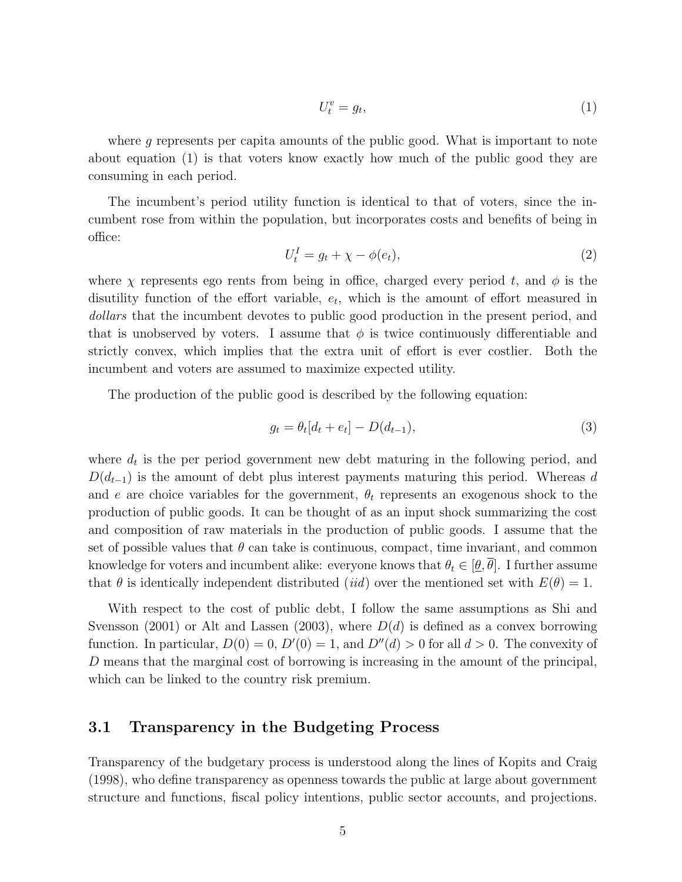$$
U_t^v = g_t,\tag{1}
$$

where g represents per capita amounts of the public good. What is important to note about equation (1) is that voters know exactly how much of the public good they are consuming in each period.

The incumbent's period utility function is identical to that of voters, since the incumbent rose from within the population, but incorporates costs and benefits of being in office:

$$
U_t^I = g_t + \chi - \phi(e_t),\tag{2}
$$

where  $\chi$  represents ego rents from being in office, charged every period t, and  $\phi$  is the disutility function of the effort variable,  $e_t$ , which is the amount of effort measured in dollars that the incumbent devotes to public good production in the present period, and that is unobserved by voters. I assume that  $\phi$  is twice continuously differentiable and strictly convex, which implies that the extra unit of effort is ever costlier. Both the incumbent and voters are assumed to maximize expected utility.

The production of the public good is described by the following equation:

$$
g_t = \theta_t[d_t + e_t] - D(d_{t-1}),
$$
\n(3)

where  $d_t$  is the per period government new debt maturing in the following period, and  $D(d_{t-1})$  is the amount of debt plus interest payments maturing this period. Whereas d and e are choice variables for the government,  $\theta_t$  represents an exogenous shock to the production of public goods. It can be thought of as an input shock summarizing the cost and composition of raw materials in the production of public goods. I assume that the set of possible values that  $\theta$  can take is continuous, compact, time invariant, and common knowledge for voters and incumbent alike: everyone knows that  $\theta_t \in [\underline{\theta}, \theta]$ . I further assume that  $\theta$  is identically independent distributed (*iid*) over the mentioned set with  $E(\theta) = 1$ .

With respect to the cost of public debt, I follow the same assumptions as Shi and Svensson (2001) or Alt and Lassen (2003), where  $D(d)$  is defined as a convex borrowing function. In particular,  $D(0) = 0$ ,  $D'(0) = 1$ , and  $D''(d) > 0$  for all  $d > 0$ . The convexity of D means that the marginal cost of borrowing is increasing in the amount of the principal, which can be linked to the country risk premium.

#### 3.1 Transparency in the Budgeting Process

Transparency of the budgetary process is understood along the lines of Kopits and Craig (1998), who define transparency as openness towards the public at large about government structure and functions, fiscal policy intentions, public sector accounts, and projections.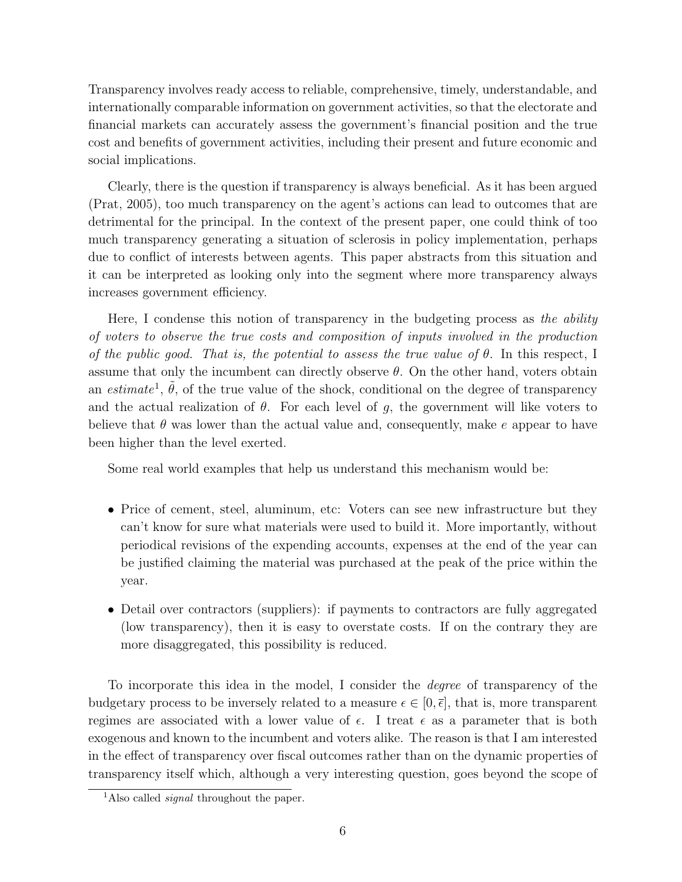Transparency involves ready access to reliable, comprehensive, timely, understandable, and internationally comparable information on government activities, so that the electorate and financial markets can accurately assess the government's financial position and the true cost and benefits of government activities, including their present and future economic and social implications.

Clearly, there is the question if transparency is always beneficial. As it has been argued (Prat, 2005), too much transparency on the agent's actions can lead to outcomes that are detrimental for the principal. In the context of the present paper, one could think of too much transparency generating a situation of sclerosis in policy implementation, perhaps due to conflict of interests between agents. This paper abstracts from this situation and it can be interpreted as looking only into the segment where more transparency always increases government efficiency.

Here, I condense this notion of transparency in the budgeting process as the ability of voters to observe the true costs and composition of inputs involved in the production of the public good. That is, the potential to assess the true value of  $\theta$ . In this respect, I assume that only the incumbent can directly observe  $\theta$ . On the other hand, voters obtain an estimate<sup>1</sup>,  $\tilde{\theta}$ , of the true value of the shock, conditional on the degree of transparency and the actual realization of  $\theta$ . For each level of g, the government will like voters to believe that  $\theta$  was lower than the actual value and, consequently, make e appear to have been higher than the level exerted.

Some real world examples that help us understand this mechanism would be:

- Price of cement, steel, aluminum, etc: Voters can see new infrastructure but they can't know for sure what materials were used to build it. More importantly, without periodical revisions of the expending accounts, expenses at the end of the year can be justified claiming the material was purchased at the peak of the price within the year.
- Detail over contractors (suppliers): if payments to contractors are fully aggregated (low transparency), then it is easy to overstate costs. If on the contrary they are more disaggregated, this possibility is reduced.

To incorporate this idea in the model, I consider the degree of transparency of the budgetary process to be inversely related to a measure  $\epsilon \in [0,\bar{\epsilon}],$  that is, more transparent regimes are associated with a lower value of  $\epsilon$ . I treat  $\epsilon$  as a parameter that is both exogenous and known to the incumbent and voters alike. The reason is that I am interested in the effect of transparency over fiscal outcomes rather than on the dynamic properties of transparency itself which, although a very interesting question, goes beyond the scope of

<sup>&</sup>lt;sup>1</sup>Also called *signal* throughout the paper.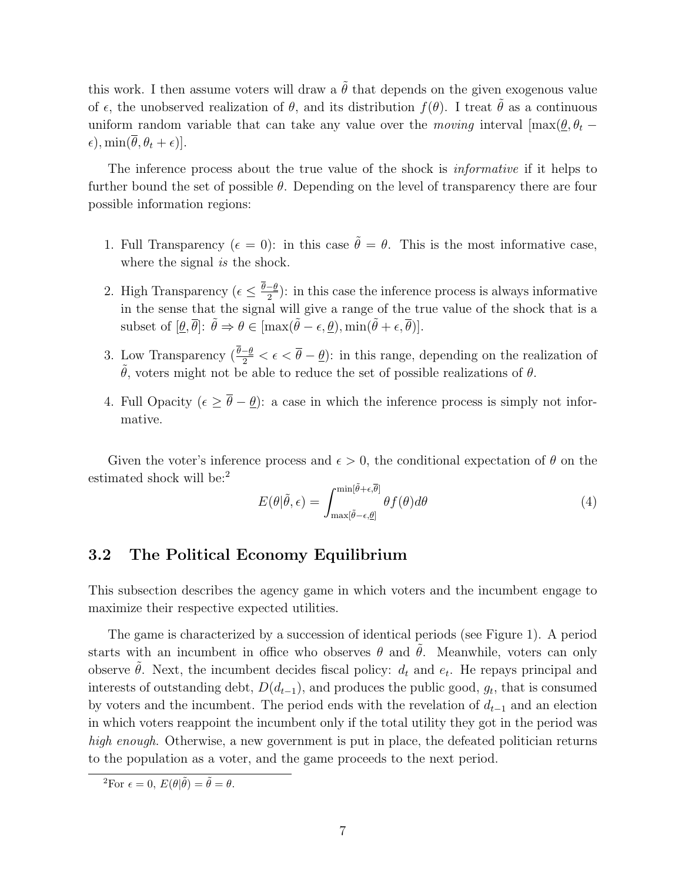this work. I then assume voters will draw a  $\tilde{\theta}$  that depends on the given exogenous value of  $\epsilon$ , the unobserved realization of  $\theta$ , and its distribution  $f(\theta)$ . I treat  $\tilde{\theta}$  as a continuous uniform random variable that can take any value over the moving interval  $[\max(\theta, \theta_t - \theta)]$  $\epsilon$ ), min $(\overline{\theta}, \theta_t + \epsilon)$ ].

The inference process about the true value of the shock is *informative* if it helps to further bound the set of possible  $\theta$ . Depending on the level of transparency there are four possible information regions:

- 1. Full Transparency ( $\epsilon = 0$ ): in this case  $\tilde{\theta} = \theta$ . This is the most informative case, where the signal *is* the shock.
- 2. High Transparency ( $\epsilon \leq \frac{\theta-\theta}{2}$  $\frac{-\theta}{2}$ : in this case the inference process is always informative in the sense that the signal will give a range of the true value of the shock that is a subset of  $[\theta, \overline{\theta}]$ :  $\tilde{\theta} \Rightarrow \theta \in [\max(\tilde{\theta} - \epsilon, \theta), \min(\tilde{\theta} + \epsilon, \overline{\theta})].$
- 3. Low Transparency  $(\frac{\theta-\theta}{2}<\epsilon<\overline{\theta}-\underline{\theta})$ : in this range, depending on the realization of  $θ$ , voters might not be able to reduce the set of possible realizations of  $θ$ .
- 4. Full Opacity  $(\epsilon \geq \overline{\theta} \underline{\theta})$ : a case in which the inference process is simply not informative.

Given the voter's inference process and  $\epsilon > 0$ , the conditional expectation of  $\theta$  on the estimated shock will be:<sup>2</sup>

$$
E(\theta|\tilde{\theta}, \epsilon) = \int_{\max[\tilde{\theta} - \epsilon, \theta]}^{\min[\tilde{\theta} + \epsilon, \overline{\theta}]} \theta f(\theta) d\theta \tag{4}
$$

### 3.2 The Political Economy Equilibrium

This subsection describes the agency game in which voters and the incumbent engage to maximize their respective expected utilities.

The game is characterized by a succession of identical periods (see Figure 1). A period starts with an incumbent in office who observes  $\theta$  and  $\theta$ . Meanwhile, voters can only observe  $\tilde{\theta}$ . Next, the incumbent decides fiscal policy:  $d_t$  and  $e_t$ . He repays principal and interests of outstanding debt,  $D(d_{t-1})$ , and produces the public good,  $g_t$ , that is consumed by voters and the incumbent. The period ends with the revelation of  $d_{t-1}$  and an election in which voters reappoint the incumbent only if the total utility they got in the period was high enough. Otherwise, a new government is put in place, the defeated politician returns to the population as a voter, and the game proceeds to the next period.

<sup>&</sup>lt;sup>2</sup>For  $\epsilon = 0$ ,  $E(\theta|\tilde{\theta}) = \tilde{\theta} = \theta$ .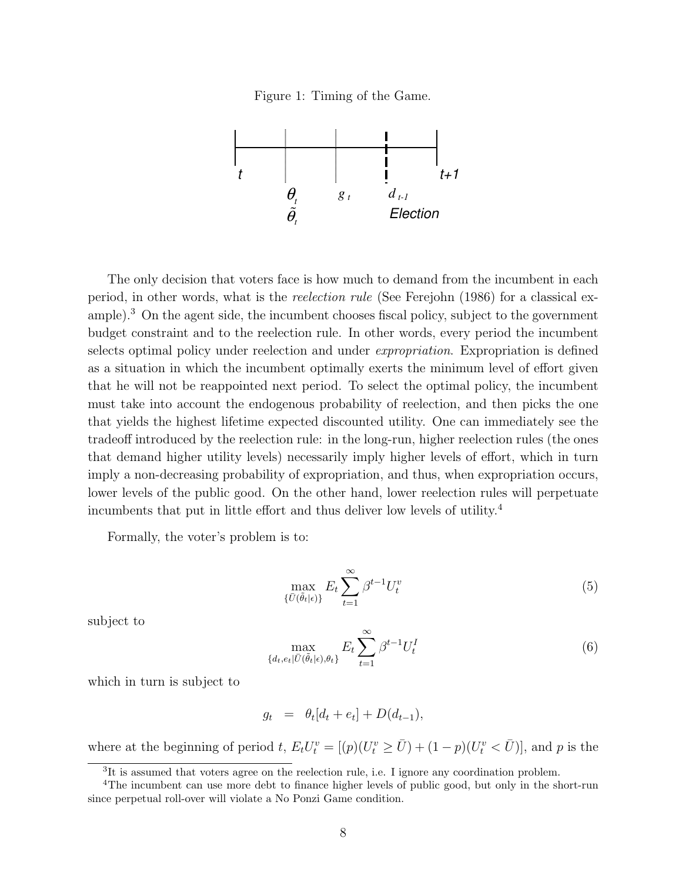Figure 1: Timing of the Game.



The only decision that voters face is how much to demand from the incumbent in each period, in other words, what is the reelection rule (See Ferejohn (1986) for a classical example).<sup>3</sup> On the agent side, the incumbent chooses fiscal policy, subject to the government budget constraint and to the reelection rule. In other words, every period the incumbent selects optimal policy under reelection and under expropriation. Expropriation is defined as a situation in which the incumbent optimally exerts the minimum level of effort given that he will not be reappointed next period. To select the optimal policy, the incumbent must take into account the endogenous probability of reelection, and then picks the one that yields the highest lifetime expected discounted utility. One can immediately see the tradeoff introduced by the reelection rule: in the long-run, higher reelection rules (the ones that demand higher utility levels) necessarily imply higher levels of effort, which in turn imply a non-decreasing probability of expropriation, and thus, when expropriation occurs, lower levels of the public good. On the other hand, lower reelection rules will perpetuate incumbents that put in little effort and thus deliver low levels of utility.<sup>4</sup>

Formally, the voter's problem is to:

$$
\max_{\{\bar{U}(\tilde{\theta}_t|\epsilon)\}} E_t \sum_{t=1}^{\infty} \beta^{t-1} U_t^v
$$
\n(5)

subject to

$$
\max_{\{d_t, e_t | \bar{U}(\tilde{\theta}_t | \epsilon), \theta_t\}} E_t \sum_{t=1}^{\infty} \beta^{t-1} U_t^I
$$
 (6)

which in turn is subject to

$$
g_t = \theta_t[d_t + e_t] + D(d_{t-1}),
$$

where at the beginning of period t,  $E_t U_t^v = [(p)(U_t^v \ge \overline{U}) + (1-p)(U_t^v \lt \overline{U})]$ , and p is the

<sup>&</sup>lt;sup>3</sup>It is assumed that voters agree on the reelection rule, i.e. I ignore any coordination problem.

<sup>4</sup>The incumbent can use more debt to finance higher levels of public good, but only in the short-run since perpetual roll-over will violate a No Ponzi Game condition.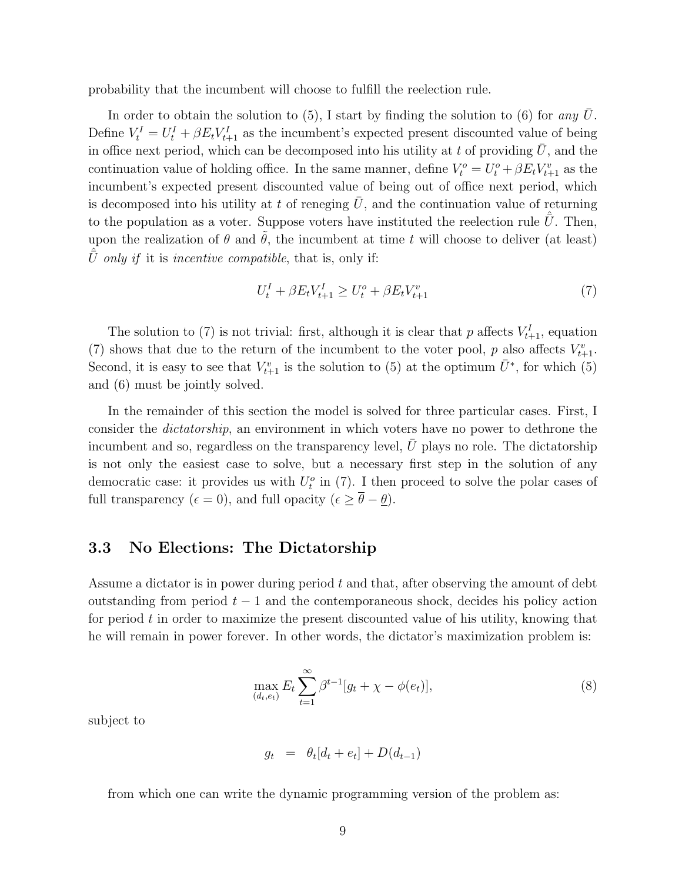probability that the incumbent will choose to fulfill the reelection rule.

In order to obtain the solution to  $(5)$ , I start by finding the solution to  $(6)$  for any U. Define  $V_t^I = U_t^I + \beta E_t V_{t+1}^I$  as the incumbent's expected present discounted value of being in office next period, which can be decomposed into his utility at t of providing  $\bar{U}$ , and the continuation value of holding office. In the same manner, define  $V_t^o = U_t^o + \beta E_t V_{t+1}^v$  as the incumbent's expected present discounted value of being out of office next period, which is decomposed into his utility at t of reneging  $U$ , and the continuation value of returning to the population as a voter. Suppose voters have instituted the reelection rule  $\hat{\bar{U}}$ . Then, upon the realization of  $\theta$  and  $\hat{\theta}$ , the incumbent at time t will choose to deliver (at least)  $\hat{\bar{U}}$  only if it is incentive compatible, that is, only if:

$$
U_t^I + \beta E_t V_{t+1}^I \ge U_t^o + \beta E_t V_{t+1}^v \tag{7}
$$

The solution to (7) is not trivial: first, although it is clear that p affects  $V_{t+1}^I$ , equation (7) shows that due to the return of the incumbent to the voter pool, p also affects  $V_{t+1}^v$ . Second, it is easy to see that  $V_{t+1}^v$  is the solution to (5) at the optimum  $\bar{U}^*$ , for which (5) and (6) must be jointly solved.

In the remainder of this section the model is solved for three particular cases. First, I consider the *dictatorship*, an environment in which voters have no power to dethrone the incumbent and so, regardless on the transparency level,  $U$  plays no role. The dictatorship is not only the easiest case to solve, but a necessary first step in the solution of any democratic case: it provides us with  $U_t^o$  in (7). I then proceed to solve the polar cases of full transparency ( $\epsilon = 0$ ), and full opacity ( $\epsilon \geq \overline{\theta} - \underline{\theta}$ ).

### 3.3 No Elections: The Dictatorship

Assume a dictator is in power during period  $t$  and that, after observing the amount of debt outstanding from period  $t - 1$  and the contemporaneous shock, decides his policy action for period  $t$  in order to maximize the present discounted value of his utility, knowing that he will remain in power forever. In other words, the dictator's maximization problem is:

$$
\max_{(d_t, e_t)} E_t \sum_{t=1}^{\infty} \beta^{t-1} [g_t + \chi - \phi(e_t)],
$$
\n(8)

subject to

$$
g_t = \theta_t[d_t + e_t] + D(d_{t-1})
$$

from which one can write the dynamic programming version of the problem as: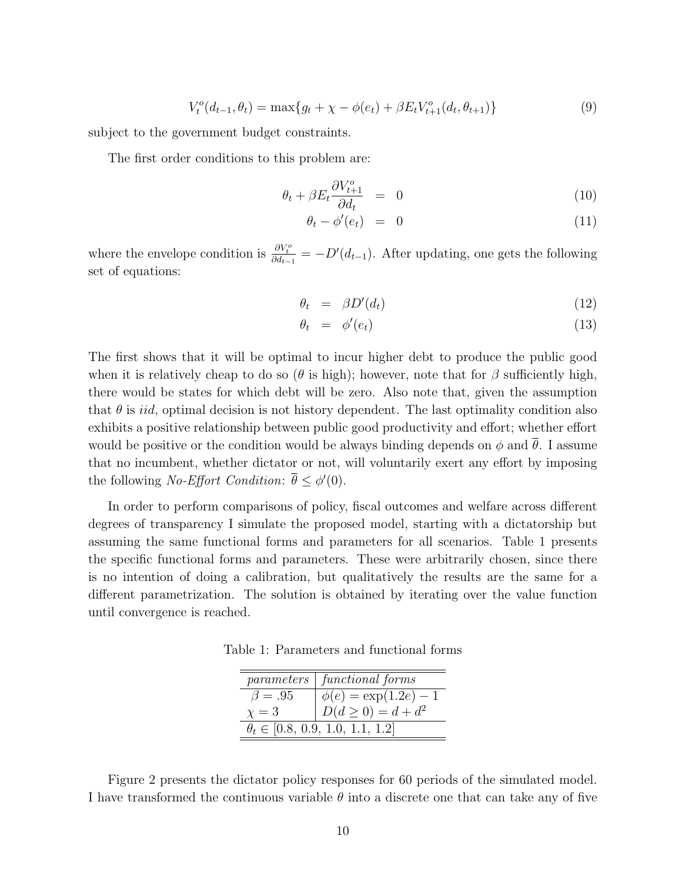$$
V_t^o(d_{t-1}, \theta_t) = \max\{g_t + \chi - \phi(e_t) + \beta E_t V_{t+1}^o(d_t, \theta_{t+1})\}\tag{9}
$$

subject to the government budget constraints.

The first order conditions to this problem are:

$$
\theta_t + \beta E_t \frac{\partial V_{t+1}^o}{\partial d_t} = 0 \tag{10}
$$

$$
\theta_t - \phi'(e_t) = 0 \tag{11}
$$

where the envelope condition is  $\frac{\partial V_t^o}{\partial d_{t-1}} = -D'(d_{t-1})$ . After updating, one gets the following set of equations:

$$
\theta_t = \beta D'(d_t) \tag{12}
$$

$$
\theta_t = \phi'(e_t) \tag{13}
$$

The first shows that it will be optimal to incur higher debt to produce the public good when it is relatively cheap to do so ( $\theta$  is high); however, note that for  $\beta$  sufficiently high, there would be states for which debt will be zero. Also note that, given the assumption that  $\theta$  is *iid*, optimal decision is not history dependent. The last optimality condition also exhibits a positive relationship between public good productivity and effort; whether effort would be positive or the condition would be always binding depends on  $\phi$  and  $\theta$ . I assume that no incumbent, whether dictator or not, will voluntarily exert any effort by imposing the following *No-Effort Condition*:  $\bar{\theta} \leq \phi'(0)$ .

In order to perform comparisons of policy, fiscal outcomes and welfare across different degrees of transparency I simulate the proposed model, starting with a dictatorship but assuming the same functional forms and parameters for all scenarios. Table 1 presents the specific functional forms and parameters. These were arbitrarily chosen, since there is no intention of doing a calibration, but qualitatively the results are the same for a different parametrization. The solution is obtained by iterating over the value function until convergence is reached.

Table 1: Parameters and functional forms

|               | parameters   functional forms            |
|---------------|------------------------------------------|
| $\beta = .95$ | $\phi(e) = \exp(1.2e) - 1$               |
| $\chi=3$      | $D(d \ge 0) = d + d^2$                   |
|               | $\theta_t \in [0.8, 0.9, 1.0, 1.1, 1.2]$ |

Figure 2 presents the dictator policy responses for 60 periods of the simulated model. I have transformed the continuous variable  $\theta$  into a discrete one that can take any of five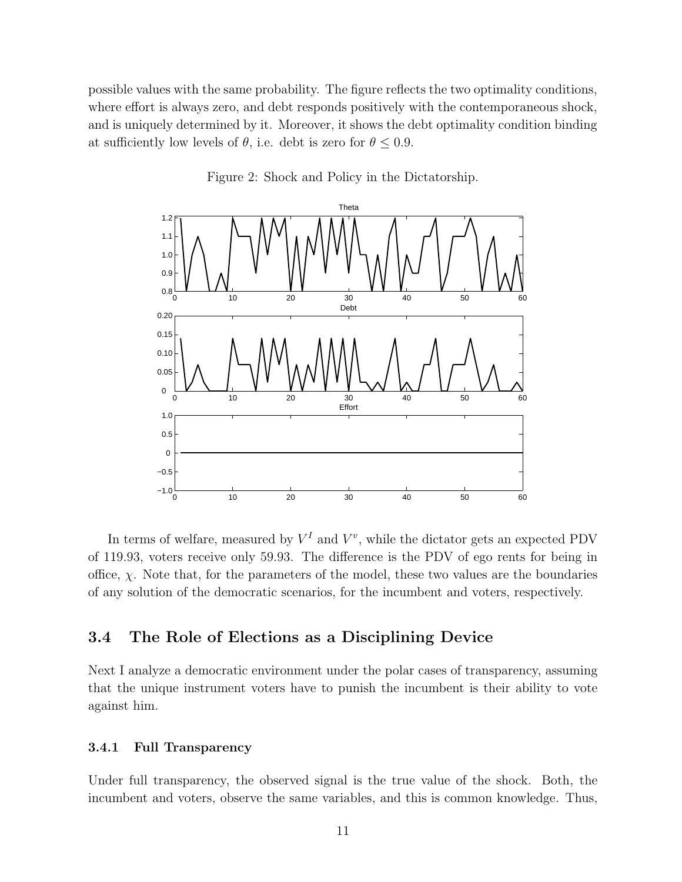possible values with the same probability. The figure reflects the two optimality conditions, where effort is always zero, and debt responds positively with the contemporaneous shock, and is uniquely determined by it. Moreover, it shows the debt optimality condition binding at sufficiently low levels of  $\theta$ , i.e. debt is zero for  $\theta \leq 0.9$ .



Figure 2: Shock and Policy in the Dictatorship.

In terms of welfare, measured by  $V^I$  and  $V^v$ , while the dictator gets an expected PDV of 119.93, voters receive only 59.93. The difference is the PDV of ego rents for being in office,  $\chi$ . Note that, for the parameters of the model, these two values are the boundaries of any solution of the democratic scenarios, for the incumbent and voters, respectively.

### 3.4 The Role of Elections as a Disciplining Device

Next I analyze a democratic environment under the polar cases of transparency, assuming that the unique instrument voters have to punish the incumbent is their ability to vote against him.

#### 3.4.1 Full Transparency

Under full transparency, the observed signal is the true value of the shock. Both, the incumbent and voters, observe the same variables, and this is common knowledge. Thus,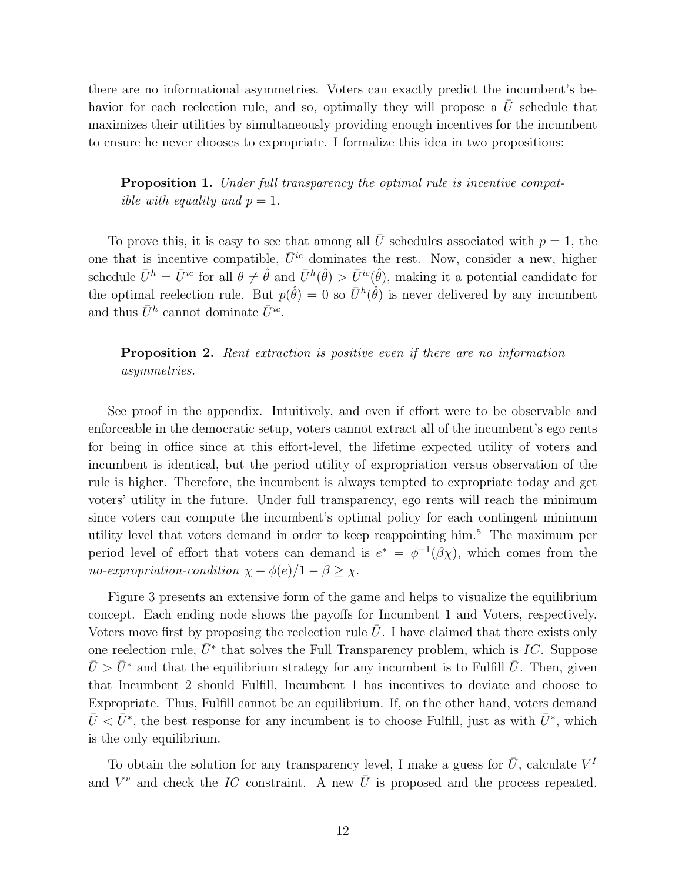there are no informational asymmetries. Voters can exactly predict the incumbent's behavior for each reelection rule, and so, optimally they will propose a  $U$  schedule that maximizes their utilities by simultaneously providing enough incentives for the incumbent to ensure he never chooses to expropriate. I formalize this idea in two propositions:

Proposition 1. Under full transparency the optimal rule is incentive compatible with equality and  $p = 1$ .

To prove this, it is easy to see that among all  $\overline{U}$  schedules associated with  $p = 1$ , the one that is incentive compatible,  $\bar{U}^{ic}$  dominates the rest. Now, consider a new, higher schedule  $\bar{U}^h = \bar{U}^{ic}$  for all  $\theta \neq \hat{\theta}$  and  $\bar{U}^h(\hat{\theta}) > \bar{U}^{ic}(\hat{\theta})$ , making it a potential candidate for the optimal reelection rule. But  $p(\hat{\theta}) = 0$  so  $\bar{U}^h(\hat{\theta})$  is never delivered by any incumbent and thus  $\bar{U}^h$  cannot dominate  $\bar{U}^{ic}$ .

**Proposition 2.** Rent extraction is positive even if there are no information asymmetries.

See proof in the appendix. Intuitively, and even if effort were to be observable and enforceable in the democratic setup, voters cannot extract all of the incumbent's ego rents for being in office since at this effort-level, the lifetime expected utility of voters and incumbent is identical, but the period utility of expropriation versus observation of the rule is higher. Therefore, the incumbent is always tempted to expropriate today and get voters' utility in the future. Under full transparency, ego rents will reach the minimum since voters can compute the incumbent's optimal policy for each contingent minimum utility level that voters demand in order to keep reappointing him.<sup>5</sup> The maximum per period level of effort that voters can demand is  $e^* = \phi^{-1}(\beta \chi)$ , which comes from the no-expropriation-condition  $\chi - \phi(e)/1 - \beta \geq \chi$ .

Figure 3 presents an extensive form of the game and helps to visualize the equilibrium concept. Each ending node shows the payoffs for Incumbent 1 and Voters, respectively. Voters move first by proposing the reelection rule  $\bar{U}$ . I have claimed that there exists only one reelection rule,  $\bar{U}^*$  that solves the Full Transparency problem, which is IC. Suppose  $\bar{U} > \bar{U}^*$  and that the equilibrium strategy for any incumbent is to Fulfill  $\bar{U}$ . Then, given that Incumbent 2 should Fulfill, Incumbent 1 has incentives to deviate and choose to Expropriate. Thus, Fulfill cannot be an equilibrium. If, on the other hand, voters demand  $\bar{U} < \bar{U}^*$ , the best response for any incumbent is to choose Fulfill, just as with  $\bar{U}^*$ , which is the only equilibrium.

To obtain the solution for any transparency level, I make a guess for  $\bar{U}$ , calculate  $V^I$ and  $V^v$  and check the IC constraint. A new  $\overline{U}$  is proposed and the process repeated.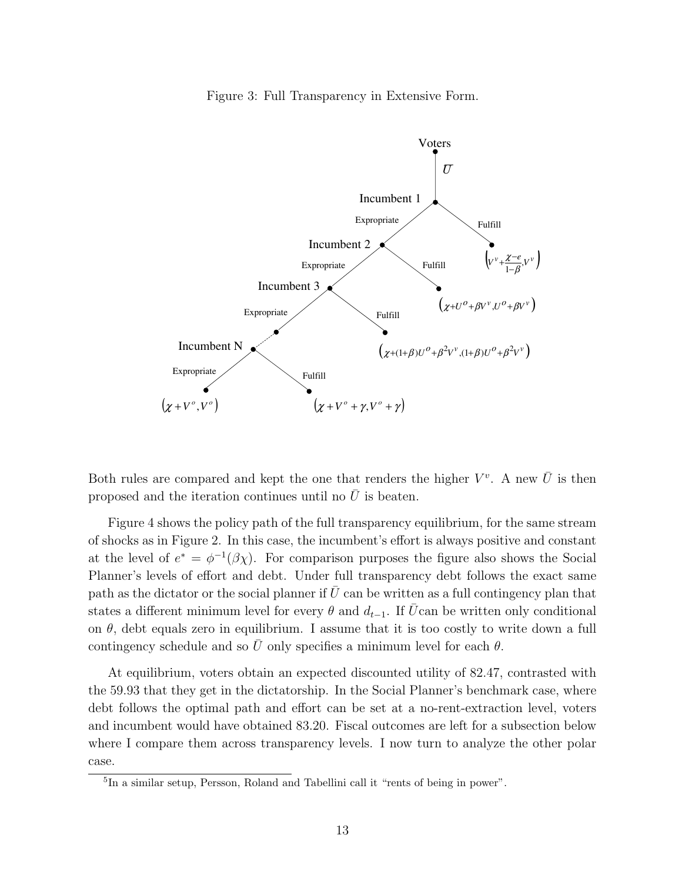Figure 3: Full Transparency in Extensive Form.



Both rules are compared and kept the one that renders the higher  $V^v$ . A new  $\bar{U}$  is then proposed and the iteration continues until no  $U$  is beaten.

Figure 4 shows the policy path of the full transparency equilibrium, for the same stream of shocks as in Figure 2. In this case, the incumbent's effort is always positive and constant at the level of  $e^* = \phi^{-1}(\beta \chi)$ . For comparison purposes the figure also shows the Social Planner's levels of effort and debt. Under full transparency debt follows the exact same path as the dictator or the social planner if  $U$  can be written as a full contingency plan that states a different minimum level for every  $\theta$  and  $d_{t-1}$ . If  $\overline{U}$ can be written only conditional on  $\theta$ , debt equals zero in equilibrium. I assume that it is too costly to write down a full contingency schedule and so U only specifies a minimum level for each  $\theta$ .

At equilibrium, voters obtain an expected discounted utility of 82.47, contrasted with the 59.93 that they get in the dictatorship. In the Social Planner's benchmark case, where debt follows the optimal path and effort can be set at a no-rent-extraction level, voters and incumbent would have obtained 83.20. Fiscal outcomes are left for a subsection below where I compare them across transparency levels. I now turn to analyze the other polar case.

<sup>&</sup>lt;sup>5</sup>In a similar setup, Persson, Roland and Tabellini call it "rents of being in power".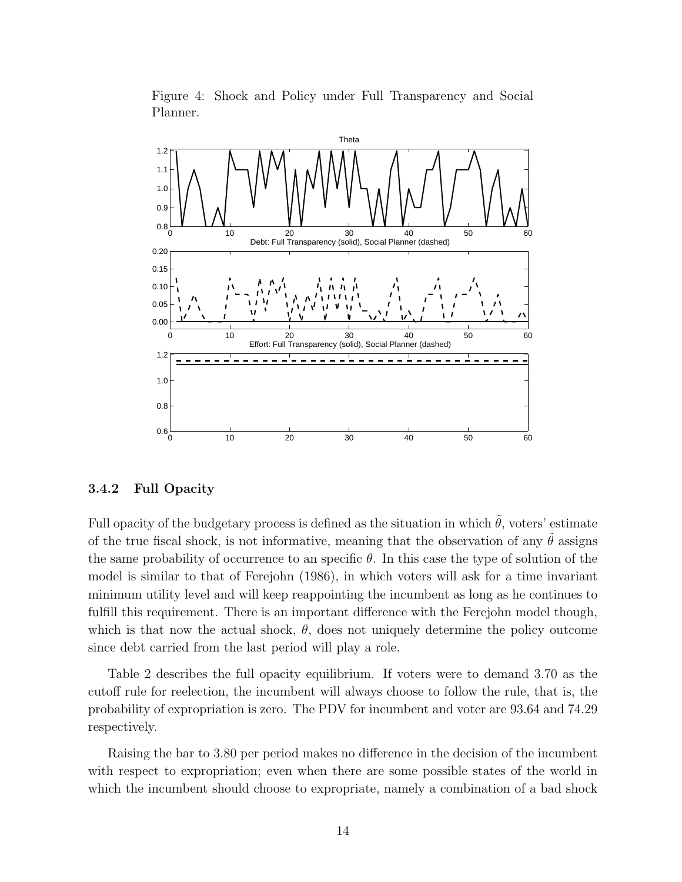

Figure 4: Shock and Policy under Full Transparency and Social Planner.

#### 3.4.2 Full Opacity

Full opacity of the budgetary process is defined as the situation in which  $\hat{\theta}$ , voters' estimate of the true fiscal shock, is not informative, meaning that the observation of any  $\theta$  assigns the same probability of occurrence to an specific  $\theta$ . In this case the type of solution of the model is similar to that of Ferejohn (1986), in which voters will ask for a time invariant minimum utility level and will keep reappointing the incumbent as long as he continues to fulfill this requirement. There is an important difference with the Ferejohn model though, which is that now the actual shock,  $\theta$ , does not uniquely determine the policy outcome since debt carried from the last period will play a role.

Table 2 describes the full opacity equilibrium. If voters were to demand 3.70 as the cutoff rule for reelection, the incumbent will always choose to follow the rule, that is, the probability of expropriation is zero. The PDV for incumbent and voter are 93.64 and 74.29 respectively.

Raising the bar to 3.80 per period makes no difference in the decision of the incumbent with respect to expropriation; even when there are some possible states of the world in which the incumbent should choose to expropriate, namely a combination of a bad shock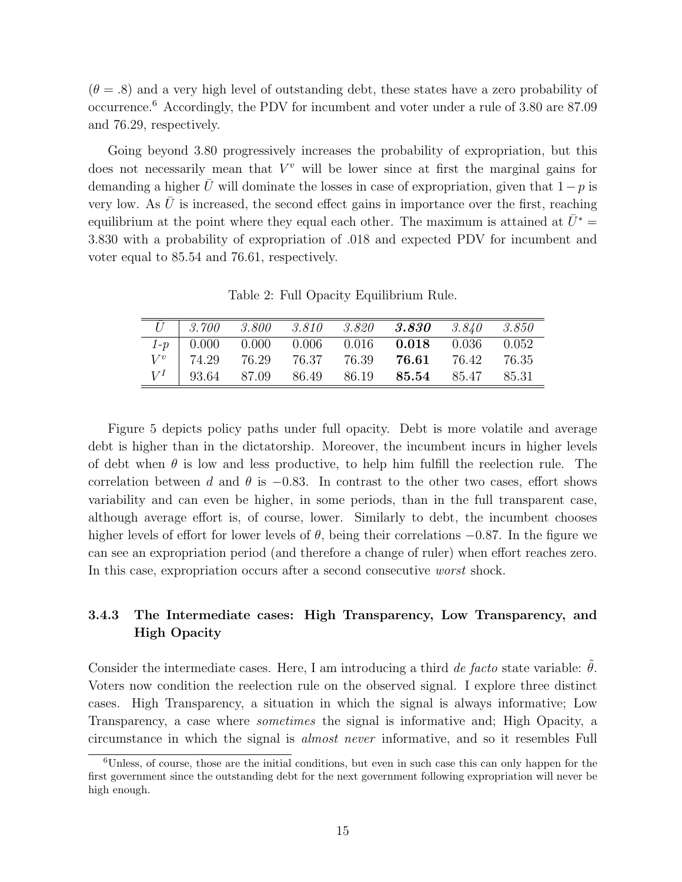$(\theta = .8)$  and a very high level of outstanding debt, these states have a zero probability of occurrence.<sup>6</sup> Accordingly, the PDV for incumbent and voter under a rule of 3.80 are 87.09 and 76.29, respectively.

Going beyond 3.80 progressively increases the probability of expropriation, but this does not necessarily mean that  $V^v$  will be lower since at first the marginal gains for demanding a higher  $\bar{U}$  will dominate the losses in case of expropriation, given that  $1-p$  is very low. As  $\bar{U}$  is increased, the second effect gains in importance over the first, reaching equilibrium at the point where they equal each other. The maximum is attained at  $\bar{U}^*$  = 3.830 with a probability of expropriation of .018 and expected PDV for incumbent and voter equal to 85.54 and 76.61, respectively.

Table 2: Full Opacity Equilibrium Rule.

|         | $\overline{U}$   3.700 |  | $3.800$ $3.810$ $3.820$ $3.830$                                                                                     | 3.840 | 3.850  |
|---------|------------------------|--|---------------------------------------------------------------------------------------------------------------------|-------|--------|
| $1-p$   |                        |  | $\begin{array}{ c c c c c c c c } \hline 0.000 & 0.000 & 0.006 & 0.016 & \textbf{0.018} & 0.036 \hline \end{array}$ |       | 0.052  |
| $V^{v}$ | 74.29                  |  | 76.29 76.37 76.39 76.61 76.42                                                                                       |       | -76.35 |
| $V^I$   |                        |  | 93.64 87.09 86.49 86.19 <b>85.54</b> 85.47                                                                          |       | 85.31  |

Figure 5 depicts policy paths under full opacity. Debt is more volatile and average debt is higher than in the dictatorship. Moreover, the incumbent incurs in higher levels of debt when  $\theta$  is low and less productive, to help him fulfill the reelection rule. The correlation between d and  $\theta$  is  $-0.83$ . In contrast to the other two cases, effort shows variability and can even be higher, in some periods, than in the full transparent case, although average effort is, of course, lower. Similarly to debt, the incumbent chooses higher levels of effort for lower levels of  $\theta$ , being their correlations  $-0.87$ . In the figure we can see an expropriation period (and therefore a change of ruler) when effort reaches zero. In this case, expropriation occurs after a second consecutive *worst* shock.

### 3.4.3 The Intermediate cases: High Transparency, Low Transparency, and High Opacity

Consider the intermediate cases. Here, I am introducing a third de facto state variable:  $\theta$ . Voters now condition the reelection rule on the observed signal. I explore three distinct cases. High Transparency, a situation in which the signal is always informative; Low Transparency, a case where *sometimes* the signal is informative and; High Opacity, a circumstance in which the signal is almost never informative, and so it resembles Full

<sup>6</sup>Unless, of course, those are the initial conditions, but even in such case this can only happen for the first government since the outstanding debt for the next government following expropriation will never be high enough.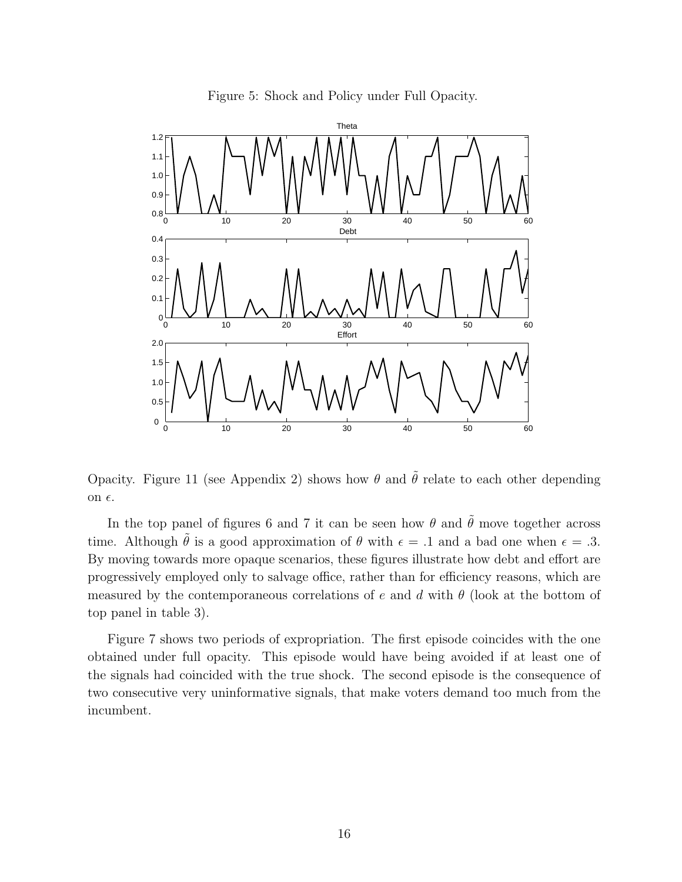

Figure 5: Shock and Policy under Full Opacity.

Opacity. Figure 11 (see Appendix 2) shows how  $\theta$  and  $\tilde{\theta}$  relate to each other depending on  $\epsilon$ .

In the top panel of figures 6 and 7 it can be seen how  $\theta$  and  $\tilde{\theta}$  move together across time. Although  $\tilde{\theta}$  is a good approximation of  $\theta$  with  $\epsilon = .1$  and a bad one when  $\epsilon = .3$ . By moving towards more opaque scenarios, these figures illustrate how debt and effort are progressively employed only to salvage office, rather than for efficiency reasons, which are measured by the contemporaneous correlations of e and d with  $\theta$  (look at the bottom of top panel in table 3).

Figure 7 shows two periods of expropriation. The first episode coincides with the one obtained under full opacity. This episode would have being avoided if at least one of the signals had coincided with the true shock. The second episode is the consequence of two consecutive very uninformative signals, that make voters demand too much from the incumbent.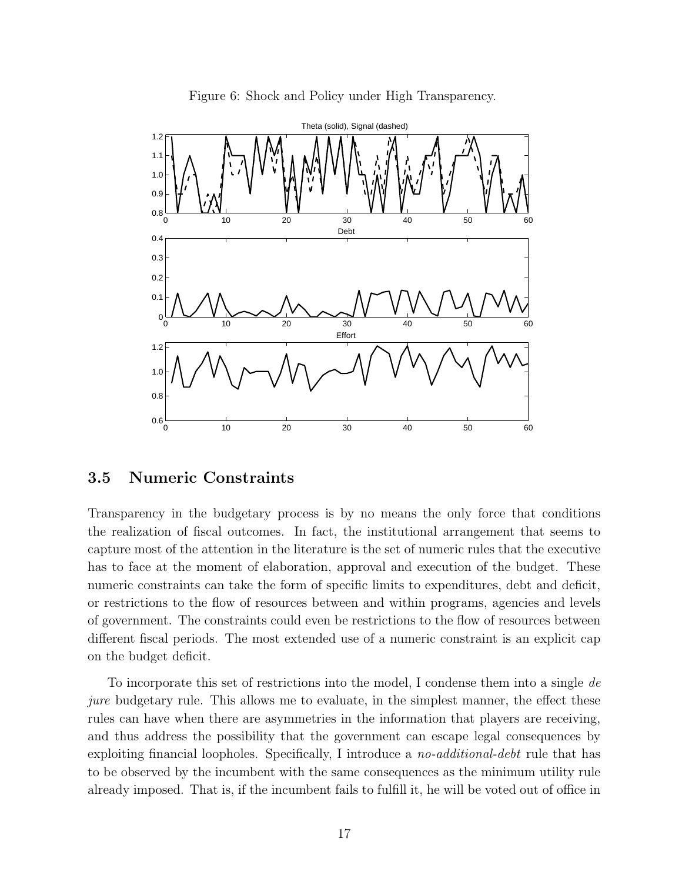

Figure 6: Shock and Policy under High Transparency.

### 3.5 Numeric Constraints

Transparency in the budgetary process is by no means the only force that conditions the realization of fiscal outcomes. In fact, the institutional arrangement that seems to capture most of the attention in the literature is the set of numeric rules that the executive has to face at the moment of elaboration, approval and execution of the budget. These numeric constraints can take the form of specific limits to expenditures, debt and deficit, or restrictions to the flow of resources between and within programs, agencies and levels of government. The constraints could even be restrictions to the flow of resources between different fiscal periods. The most extended use of a numeric constraint is an explicit cap on the budget deficit.

To incorporate this set of restrictions into the model, I condense them into a single de jure budgetary rule. This allows me to evaluate, in the simplest manner, the effect these rules can have when there are asymmetries in the information that players are receiving, and thus address the possibility that the government can escape legal consequences by exploiting financial loopholes. Specifically, I introduce a *no-additional-debt* rule that has to be observed by the incumbent with the same consequences as the minimum utility rule already imposed. That is, if the incumbent fails to fulfill it, he will be voted out of office in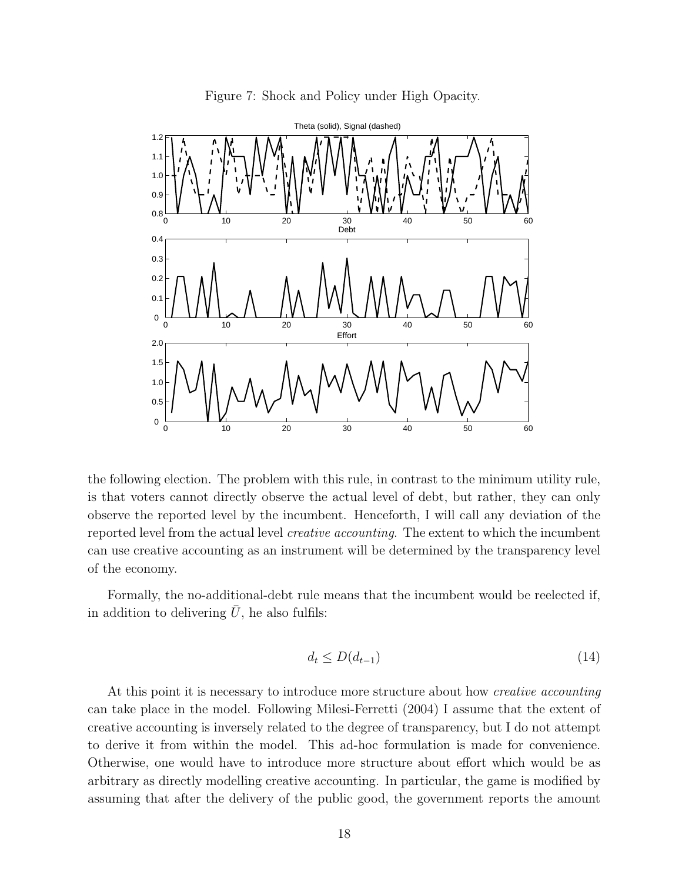

Figure 7: Shock and Policy under High Opacity.

the following election. The problem with this rule, in contrast to the minimum utility rule, is that voters cannot directly observe the actual level of debt, but rather, they can only observe the reported level by the incumbent. Henceforth, I will call any deviation of the reported level from the actual level creative accounting. The extent to which the incumbent can use creative accounting as an instrument will be determined by the transparency level of the economy.

Formally, the no-additional-debt rule means that the incumbent would be reelected if, in addition to delivering  $\bar{U}$ , he also fulfils:

$$
d_t \le D(d_{t-1})\tag{14}
$$

At this point it is necessary to introduce more structure about how *creative accounting* can take place in the model. Following Milesi-Ferretti (2004) I assume that the extent of creative accounting is inversely related to the degree of transparency, but I do not attempt to derive it from within the model. This ad-hoc formulation is made for convenience. Otherwise, one would have to introduce more structure about effort which would be as arbitrary as directly modelling creative accounting. In particular, the game is modified by assuming that after the delivery of the public good, the government reports the amount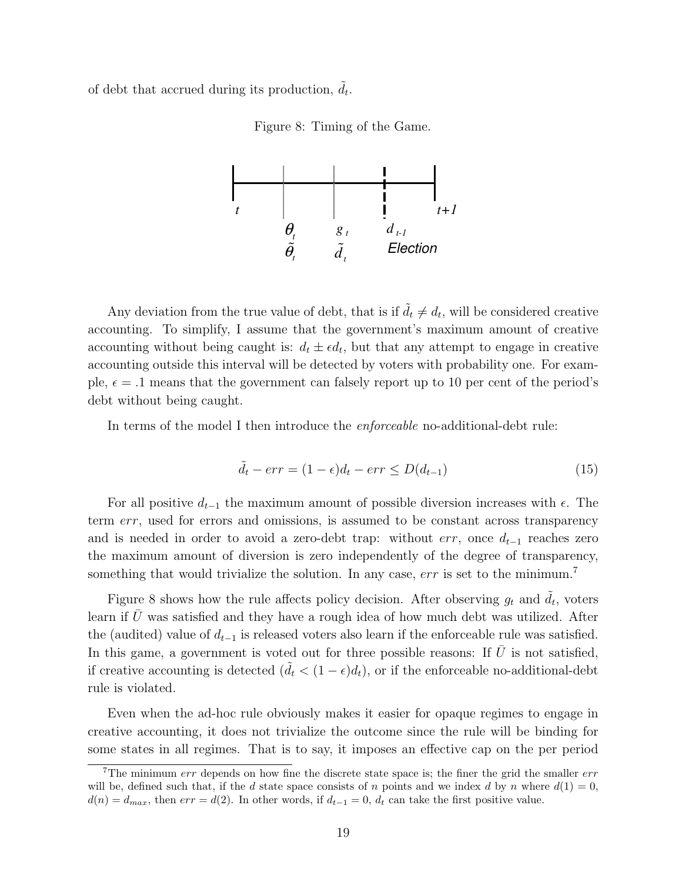of debt that accrued during its production,  $\tilde{d}_t$ .

Figure 8: Timing of the Game.



Any deviation from the true value of debt, that is if  $\tilde{d}_t \neq d_t$ , will be considered creative accounting. To simplify, I assume that the government's maximum amount of creative accounting without being caught is:  $d_t \pm \epsilon d_t$ , but that any attempt to engage in creative accounting outside this interval will be detected by voters with probability one. For example,  $\epsilon = .1$  means that the government can falsely report up to 10 per cent of the period's debt without being caught.

In terms of the model I then introduce the enforceable no-additional-debt rule:

$$
\tilde{d}_t - err = (1 - \epsilon)d_t - err \le D(d_{t-1})\tag{15}
$$

For all positive  $d_{t-1}$  the maximum amount of possible diversion increases with  $\epsilon$ . The term err, used for errors and omissions, is assumed to be constant across transparency and is needed in order to avoid a zero-debt trap: without  $err$ , once  $d_{t-1}$  reaches zero the maximum amount of diversion is zero independently of the degree of transparency, something that would trivialize the solution. In any case,  $err$  is set to the minimum.<sup>7</sup>

Figure 8 shows how the rule affects policy decision. After observing  $g_t$  and  $\tilde{d}_t$ , voters learn if  $U$  was satisfied and they have a rough idea of how much debt was utilized. After the (audited) value of  $d_{t-1}$  is released voters also learn if the enforceable rule was satisfied. In this game, a government is voted out for three possible reasons: If  $\bar{U}$  is not satisfied, if creative accounting is detected  $(\tilde{d}_t < (1 - \epsilon)d_t)$ , or if the enforceable no-additional-debt rule is violated.

Even when the ad-hoc rule obviously makes it easier for opaque regimes to engage in creative accounting, it does not trivialize the outcome since the rule will be binding for some states in all regimes. That is to say, it imposes an effective cap on the per period

<sup>&</sup>lt;sup>7</sup>The minimum  $err$  depends on how fine the discrete state space is; the finer the grid the smaller  $err$ will be, defined such that, if the d state space consists of n points and we index d by n where  $d(1) = 0$ ,  $d(n) = d_{max}$ , then  $err = d(2)$ . In other words, if  $d_{t-1} = 0$ ,  $d_t$  can take the first positive value.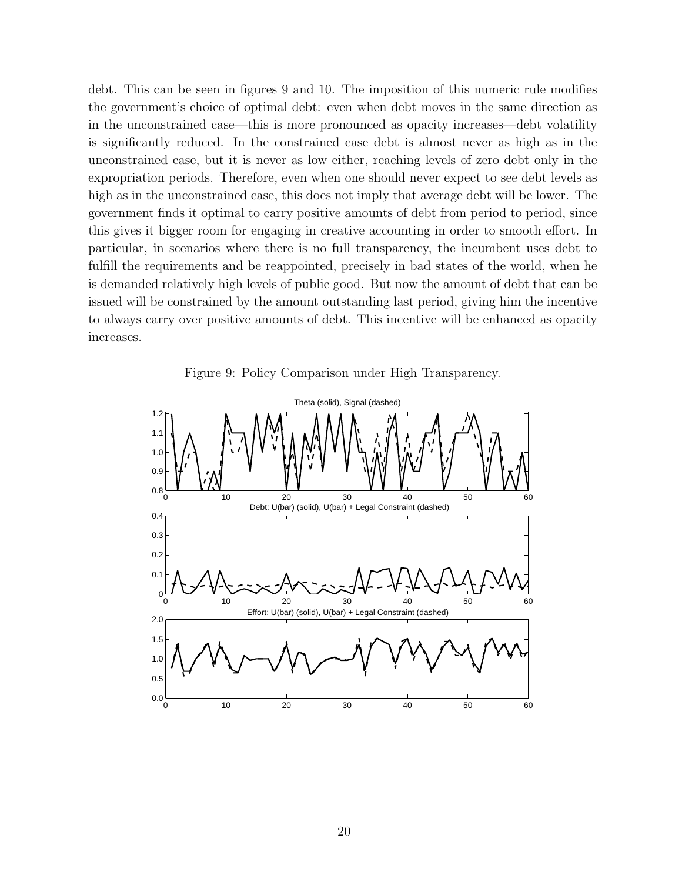debt. This can be seen in figures 9 and 10. The imposition of this numeric rule modifies the government's choice of optimal debt: even when debt moves in the same direction as in the unconstrained case—this is more pronounced as opacity increases—debt volatility is significantly reduced. In the constrained case debt is almost never as high as in the unconstrained case, but it is never as low either, reaching levels of zero debt only in the expropriation periods. Therefore, even when one should never expect to see debt levels as high as in the unconstrained case, this does not imply that average debt will be lower. The government finds it optimal to carry positive amounts of debt from period to period, since this gives it bigger room for engaging in creative accounting in order to smooth effort. In particular, in scenarios where there is no full transparency, the incumbent uses debt to fulfill the requirements and be reappointed, precisely in bad states of the world, when he is demanded relatively high levels of public good. But now the amount of debt that can be issued will be constrained by the amount outstanding last period, giving him the incentive to always carry over positive amounts of debt. This incentive will be enhanced as opacity increases.

Figure 9: Policy Comparison under High Transparency.

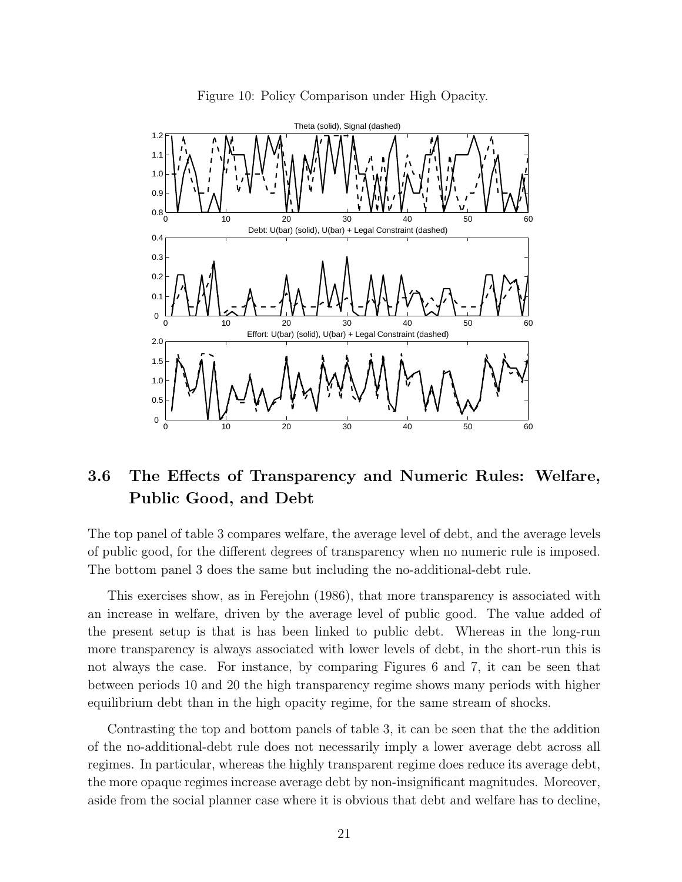

Figure 10: Policy Comparison under High Opacity.

# 3.6 The Effects of Transparency and Numeric Rules: Welfare, Public Good, and Debt

The top panel of table 3 compares welfare, the average level of debt, and the average levels of public good, for the different degrees of transparency when no numeric rule is imposed. The bottom panel 3 does the same but including the no-additional-debt rule.

This exercises show, as in Ferejohn (1986), that more transparency is associated with an increase in welfare, driven by the average level of public good. The value added of the present setup is that is has been linked to public debt. Whereas in the long-run more transparency is always associated with lower levels of debt, in the short-run this is not always the case. For instance, by comparing Figures 6 and 7, it can be seen that between periods 10 and 20 the high transparency regime shows many periods with higher equilibrium debt than in the high opacity regime, for the same stream of shocks.

Contrasting the top and bottom panels of table 3, it can be seen that the the addition of the no-additional-debt rule does not necessarily imply a lower average debt across all regimes. In particular, whereas the highly transparent regime does reduce its average debt, the more opaque regimes increase average debt by non-insignificant magnitudes. Moreover, aside from the social planner case where it is obvious that debt and welfare has to decline,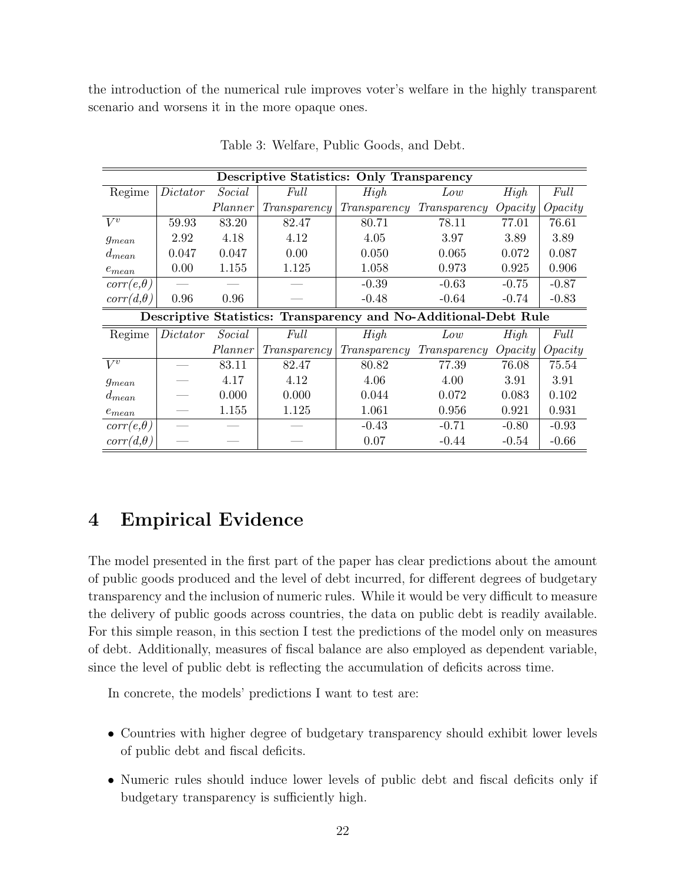the introduction of the numerical rule improves voter's welfare in the highly transparent scenario and worsens it in the more opaque ones.

| <b>Descriptive Statistics: Only Transparency</b>                 |          |         |              |              |              |                    |                    |  |  |  |
|------------------------------------------------------------------|----------|---------|--------------|--------------|--------------|--------------------|--------------------|--|--|--|
| Regime                                                           | Dictator | Social  | Full         | High         | Low          | High               | Full               |  |  |  |
|                                                                  |          | Planner | Transparency | Transparency | Transparency | Oncity             | $O\mathit{pacity}$ |  |  |  |
| $V^v$                                                            | 59.93    | 83.20   | 82.47        | 80.71        | 78.11        | 77.01              | 76.61              |  |  |  |
| $g_{mean}$                                                       | 2.92     | 4.18    | 4.12         | 4.05         | 3.97         | 3.89               | 3.89               |  |  |  |
| $d_{mean}$                                                       | 0.047    | 0.047   | 0.00         | 0.050        | 0.065        | 0.072              | 0.087              |  |  |  |
| $e_{mean}$                                                       | 0.00     | 1.155   | 1.125        | 1.058        | 0.973        | 0.925              | 0.906              |  |  |  |
| $corr(e, \theta)$                                                |          |         |              | $-0.39$      | $-0.63$      | $-0.75$            | $-0.87$            |  |  |  |
| $corr(d, \theta)$                                                | 0.96     | 0.96    |              | $-0.48$      | $-0.64$      | $-0.74$            | $-0.83$            |  |  |  |
| Descriptive Statistics: Transparency and No-Additional-Debt Rule |          |         |              |              |              |                    |                    |  |  |  |
|                                                                  |          |         |              |              |              |                    |                    |  |  |  |
| Regime                                                           | Dictator | Social  | Full         | High         | Low          | High               | Full               |  |  |  |
|                                                                  |          | Planner | Transparency | Transparency | Transparency | $O\mathit{pacity}$ | $O\mathit{pacity}$ |  |  |  |
| $V^{v}$                                                          |          | 83.11   | 82.47        | 80.82        | 77.39        | 76.08              | 75.54              |  |  |  |
| $g_{mean}$                                                       |          | 4.17    | 4.12         | 4.06         | 4.00         | 3.91               | 3.91               |  |  |  |
| $d_{mean}$                                                       |          | 0.000   | 0.000        | 0.044        | 0.072        | 0.083              | 0.102              |  |  |  |
| $e_{mean}$                                                       |          | 1.155   | 1.125        | 1.061        | 0.956        | 0.921              | 0.931              |  |  |  |
| $corr(e, \theta)$                                                |          |         |              | $-0.43$      | $-0.71$      | $-0.80$            | $-0.93$            |  |  |  |

Table 3: Welfare, Public Goods, and Debt.

# 4 Empirical Evidence

The model presented in the first part of the paper has clear predictions about the amount of public goods produced and the level of debt incurred, for different degrees of budgetary transparency and the inclusion of numeric rules. While it would be very difficult to measure the delivery of public goods across countries, the data on public debt is readily available. For this simple reason, in this section I test the predictions of the model only on measures of debt. Additionally, measures of fiscal balance are also employed as dependent variable, since the level of public debt is reflecting the accumulation of deficits across time.

In concrete, the models' predictions I want to test are:

- Countries with higher degree of budgetary transparency should exhibit lower levels of public debt and fiscal deficits.
- Numeric rules should induce lower levels of public debt and fiscal deficits only if budgetary transparency is sufficiently high.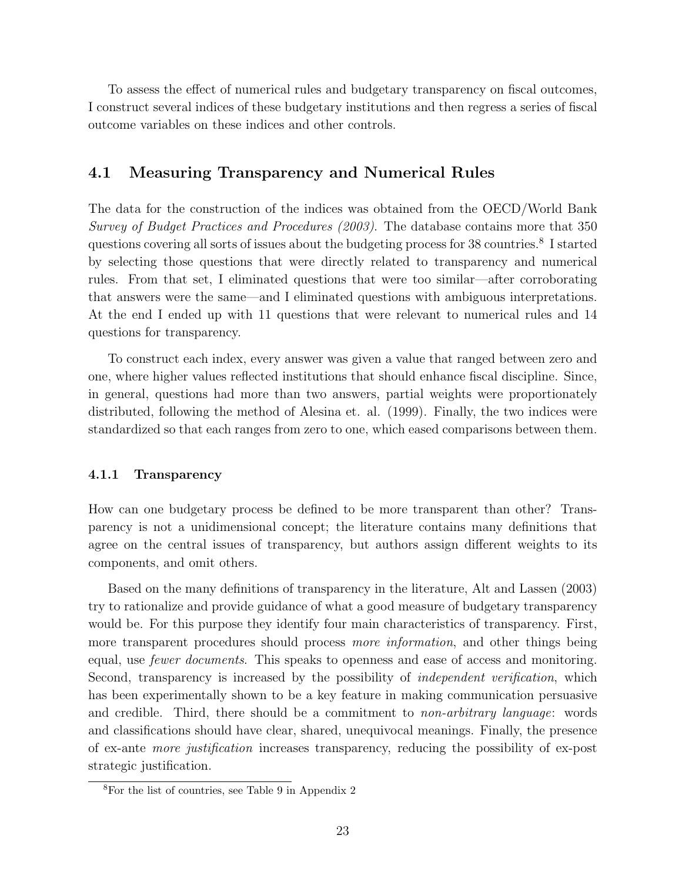To assess the effect of numerical rules and budgetary transparency on fiscal outcomes, I construct several indices of these budgetary institutions and then regress a series of fiscal outcome variables on these indices and other controls.

### 4.1 Measuring Transparency and Numerical Rules

The data for the construction of the indices was obtained from the OECD/World Bank Survey of Budget Practices and Procedures (2003). The database contains more that 350 questions covering all sorts of issues about the budgeting process for 38 countries.<sup>8</sup> I started by selecting those questions that were directly related to transparency and numerical rules. From that set, I eliminated questions that were too similar—after corroborating that answers were the same—and I eliminated questions with ambiguous interpretations. At the end I ended up with 11 questions that were relevant to numerical rules and 14 questions for transparency.

To construct each index, every answer was given a value that ranged between zero and one, where higher values reflected institutions that should enhance fiscal discipline. Since, in general, questions had more than two answers, partial weights were proportionately distributed, following the method of Alesina et. al. (1999). Finally, the two indices were standardized so that each ranges from zero to one, which eased comparisons between them.

#### 4.1.1 Transparency

How can one budgetary process be defined to be more transparent than other? Transparency is not a unidimensional concept; the literature contains many definitions that agree on the central issues of transparency, but authors assign different weights to its components, and omit others.

Based on the many definitions of transparency in the literature, Alt and Lassen (2003) try to rationalize and provide guidance of what a good measure of budgetary transparency would be. For this purpose they identify four main characteristics of transparency. First, more transparent procedures should process *more information*, and other things being equal, use *fewer documents*. This speaks to openness and ease of access and monitoring. Second, transparency is increased by the possibility of *independent verification*, which has been experimentally shown to be a key feature in making communication persuasive and credible. Third, there should be a commitment to *non-arbitrary language*: words and classifications should have clear, shared, unequivocal meanings. Finally, the presence of ex-ante more justification increases transparency, reducing the possibility of ex-post strategic justification.

<sup>8</sup>For the list of countries, see Table 9 in Appendix 2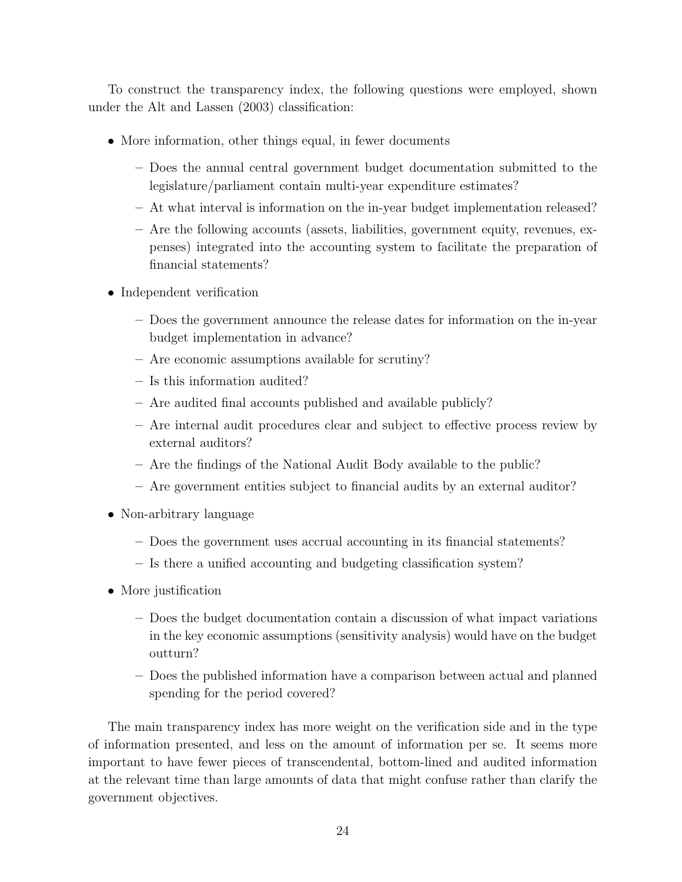To construct the transparency index, the following questions were employed, shown under the Alt and Lassen (2003) classification:

- More information, other things equal, in fewer documents
	- Does the annual central government budget documentation submitted to the legislature/parliament contain multi-year expenditure estimates?
	- At what interval is information on the in-year budget implementation released?
	- Are the following accounts (assets, liabilities, government equity, revenues, expenses) integrated into the accounting system to facilitate the preparation of financial statements?
- Independent verification
	- Does the government announce the release dates for information on the in-year budget implementation in advance?
	- Are economic assumptions available for scrutiny?
	- Is this information audited?
	- Are audited final accounts published and available publicly?
	- Are internal audit procedures clear and subject to effective process review by external auditors?
	- Are the findings of the National Audit Body available to the public?
	- Are government entities subject to financial audits by an external auditor?
- Non-arbitrary language
	- Does the government uses accrual accounting in its financial statements?
	- Is there a unified accounting and budgeting classification system?
- More justification
	- Does the budget documentation contain a discussion of what impact variations in the key economic assumptions (sensitivity analysis) would have on the budget outturn?
	- Does the published information have a comparison between actual and planned spending for the period covered?

The main transparency index has more weight on the verification side and in the type of information presented, and less on the amount of information per se. It seems more important to have fewer pieces of transcendental, bottom-lined and audited information at the relevant time than large amounts of data that might confuse rather than clarify the government objectives.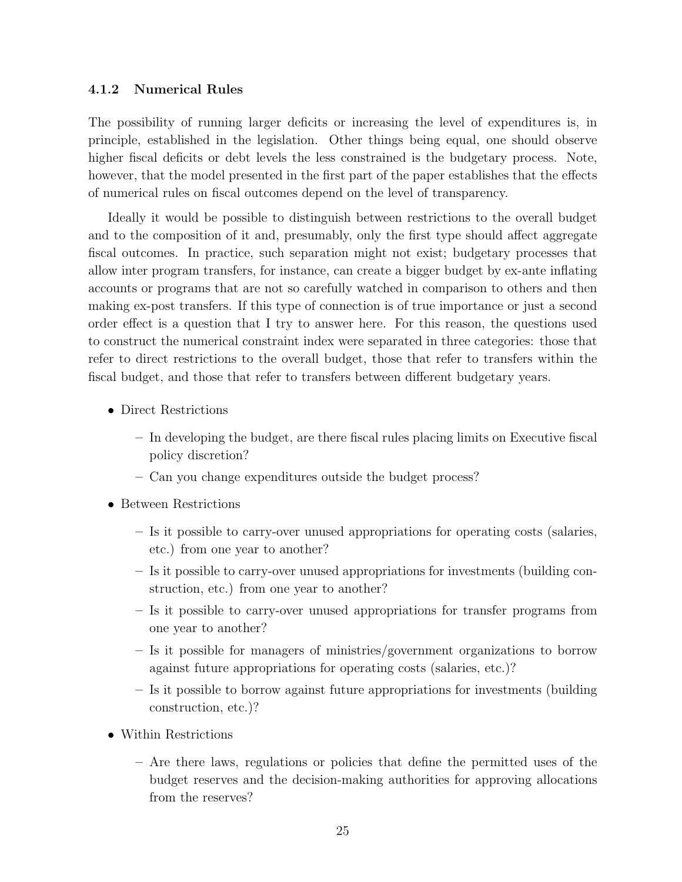#### 4.1.2 Numerical Rules

The possibility of running larger deficits or increasing the level of expenditures is, in principle, established in the legislation. Other things being equal, one should observe higher fiscal deficits or debt levels the less constrained is the budgetary process. Note, however, that the model presented in the first part of the paper establishes that the effects of numerical rules on fiscal outcomes depend on the level of transparency.

Ideally it would be possible to distinguish between restrictions to the overall budget and to the composition of it and, presumably, only the first type should affect aggregate fiscal outcomes. In practice, such separation might not exist; budgetary processes that allow inter program transfers, for instance, can create a bigger budget by ex-ante inflating accounts or programs that are not so carefully watched in comparison to others and then making ex-post transfers. If this type of connection is of true importance or just a second order effect is a question that I try to answer here. For this reason, the questions used to construct the numerical constraint index were separated in three categories: those that refer to direct restrictions to the overall budget, those that refer to transfers within the fiscal budget, and those that refer to transfers between different budgetary years.

- Direct Restrictions
	- In developing the budget, are there fiscal rules placing limits on Executive fiscal policy discretion?
	- Can you change expenditures outside the budget process?
- Between Restrictions
	- Is it possible to carry-over unused appropriations for operating costs (salaries, etc.) from one year to another?
	- Is it possible to carry-over unused appropriations for investments (building construction, etc.) from one year to another?
	- Is it possible to carry-over unused appropriations for transfer programs from one year to another?
	- Is it possible for managers of ministries/government organizations to borrow against future appropriations for operating costs (salaries, etc.)?
	- Is it possible to borrow against future appropriations for investments (building construction, etc.)?
- Within Restrictions
	- Are there laws, regulations or policies that define the permitted uses of the budget reserves and the decision-making authorities for approving allocations from the reserves?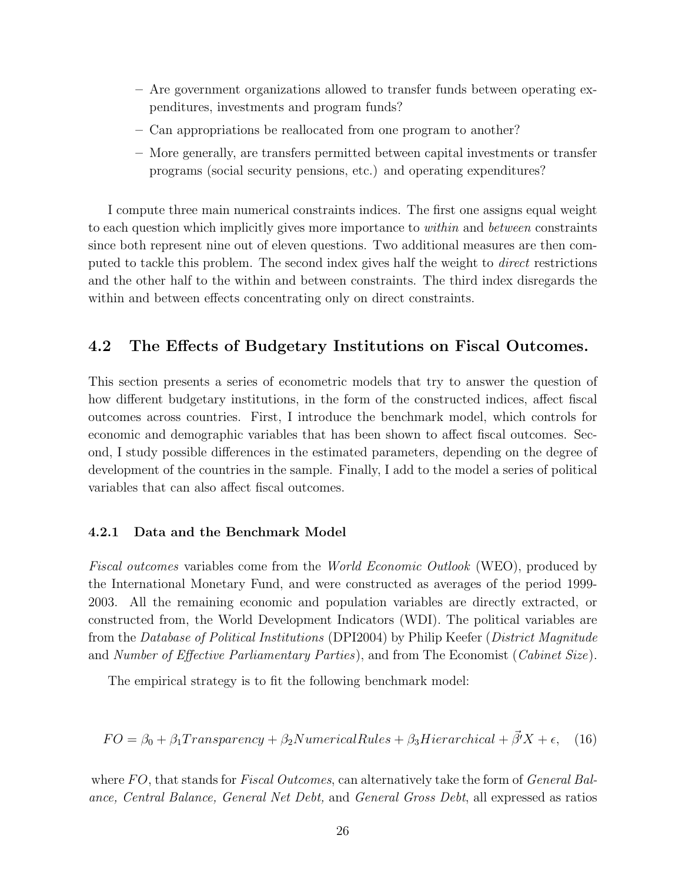- Are government organizations allowed to transfer funds between operating expenditures, investments and program funds?
- Can appropriations be reallocated from one program to another?
- More generally, are transfers permitted between capital investments or transfer programs (social security pensions, etc.) and operating expenditures?

I compute three main numerical constraints indices. The first one assigns equal weight to each question which implicitly gives more importance to *within* and *between* constraints since both represent nine out of eleven questions. Two additional measures are then computed to tackle this problem. The second index gives half the weight to direct restrictions and the other half to the within and between constraints. The third index disregards the within and between effects concentrating only on direct constraints.

### 4.2 The Effects of Budgetary Institutions on Fiscal Outcomes.

This section presents a series of econometric models that try to answer the question of how different budgetary institutions, in the form of the constructed indices, affect fiscal outcomes across countries. First, I introduce the benchmark model, which controls for economic and demographic variables that has been shown to affect fiscal outcomes. Second, I study possible differences in the estimated parameters, depending on the degree of development of the countries in the sample. Finally, I add to the model a series of political variables that can also affect fiscal outcomes.

#### 4.2.1 Data and the Benchmark Model

Fiscal outcomes variables come from the World Economic Outlook (WEO), produced by the International Monetary Fund, and were constructed as averages of the period 1999- 2003. All the remaining economic and population variables are directly extracted, or constructed from, the World Development Indicators (WDI). The political variables are from the Database of Political Institutions (DPI2004) by Philip Keefer (District Magnitude and Number of Effective Parliamentary Parties), and from The Economist (Cabinet Size).

The empirical strategy is to fit the following benchmark model:

$$
FO = \beta_0 + \beta_1 Transparency + \beta_2 Numerical Rules + \beta_3 Hierarchical + \vec{\beta}'X + \epsilon, \quad (16)
$$

where  $FO$ , that stands for *Fiscal Outcomes*, can alternatively take the form of *General Bal*ance, Central Balance, General Net Debt, and General Gross Debt, all expressed as ratios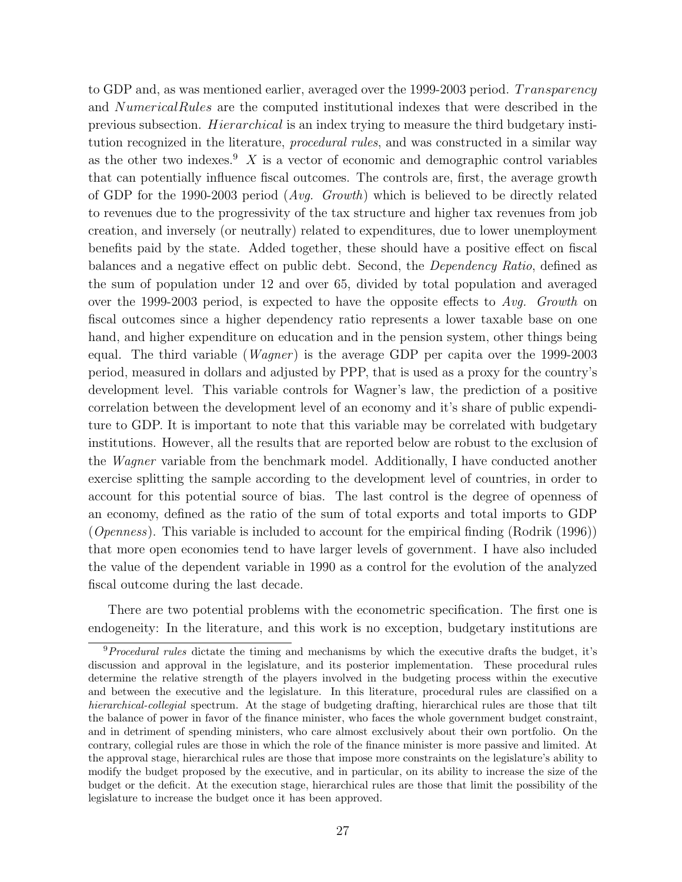to GDP and, as was mentioned earlier, averaged over the 1999-2003 period. Transparency and NumericalRules are the computed institutional indexes that were described in the previous subsection. Hierarchical is an index trying to measure the third budgetary institution recognized in the literature, *procedural rules*, and was constructed in a similar way as the other two indexes.<sup>9</sup> X is a vector of economic and demographic control variables that can potentially influence fiscal outcomes. The controls are, first, the average growth of GDP for the 1990-2003 period  $(Avg, Growth)$  which is believed to be directly related to revenues due to the progressivity of the tax structure and higher tax revenues from job creation, and inversely (or neutrally) related to expenditures, due to lower unemployment benefits paid by the state. Added together, these should have a positive effect on fiscal balances and a negative effect on public debt. Second, the Dependency Ratio, defined as the sum of population under 12 and over 65, divided by total population and averaged over the 1999-2003 period, is expected to have the opposite effects to Avg. Growth on fiscal outcomes since a higher dependency ratio represents a lower taxable base on one hand, and higher expenditure on education and in the pension system, other things being equal. The third variable (*Wagner*) is the average GDP per capita over the 1999-2003 period, measured in dollars and adjusted by PPP, that is used as a proxy for the country's development level. This variable controls for Wagner's law, the prediction of a positive correlation between the development level of an economy and it's share of public expenditure to GDP. It is important to note that this variable may be correlated with budgetary institutions. However, all the results that are reported below are robust to the exclusion of the *Wagner* variable from the benchmark model. Additionally, I have conducted another exercise splitting the sample according to the development level of countries, in order to account for this potential source of bias. The last control is the degree of openness of an economy, defined as the ratio of the sum of total exports and total imports to GDP (*Openness*). This variable is included to account for the empirical finding (Rodrik (1996)) that more open economies tend to have larger levels of government. I have also included the value of the dependent variable in 1990 as a control for the evolution of the analyzed fiscal outcome during the last decade.

There are two potential problems with the econometric specification. The first one is endogeneity: In the literature, and this work is no exception, budgetary institutions are

<sup>&</sup>lt;sup>9</sup>Procedural rules dictate the timing and mechanisms by which the executive drafts the budget, it's discussion and approval in the legislature, and its posterior implementation. These procedural rules determine the relative strength of the players involved in the budgeting process within the executive and between the executive and the legislature. In this literature, procedural rules are classified on a hierarchical-collegial spectrum. At the stage of budgeting drafting, hierarchical rules are those that tilt the balance of power in favor of the finance minister, who faces the whole government budget constraint, and in detriment of spending ministers, who care almost exclusively about their own portfolio. On the contrary, collegial rules are those in which the role of the finance minister is more passive and limited. At the approval stage, hierarchical rules are those that impose more constraints on the legislature's ability to modify the budget proposed by the executive, and in particular, on its ability to increase the size of the budget or the deficit. At the execution stage, hierarchical rules are those that limit the possibility of the legislature to increase the budget once it has been approved.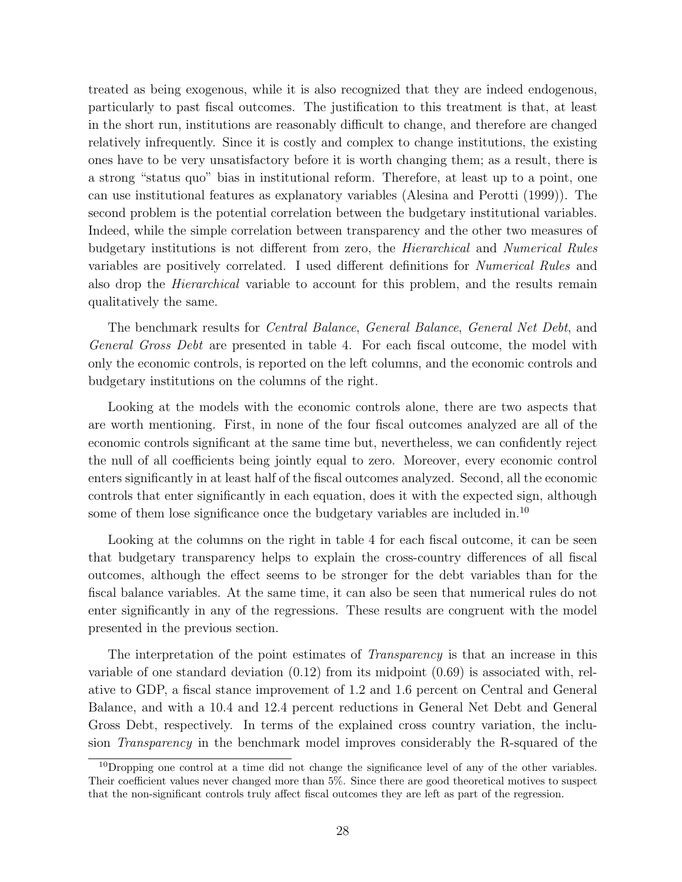treated as being exogenous, while it is also recognized that they are indeed endogenous, particularly to past fiscal outcomes. The justification to this treatment is that, at least in the short run, institutions are reasonably difficult to change, and therefore are changed relatively infrequently. Since it is costly and complex to change institutions, the existing ones have to be very unsatisfactory before it is worth changing them; as a result, there is a strong "status quo" bias in institutional reform. Therefore, at least up to a point, one can use institutional features as explanatory variables (Alesina and Perotti (1999)). The second problem is the potential correlation between the budgetary institutional variables. Indeed, while the simple correlation between transparency and the other two measures of budgetary institutions is not different from zero, the Hierarchical and Numerical Rules variables are positively correlated. I used different definitions for Numerical Rules and also drop the *Hierarchical* variable to account for this problem, and the results remain qualitatively the same.

The benchmark results for Central Balance, General Balance, General Net Debt, and General Gross Debt are presented in table 4. For each fiscal outcome, the model with only the economic controls, is reported on the left columns, and the economic controls and budgetary institutions on the columns of the right.

Looking at the models with the economic controls alone, there are two aspects that are worth mentioning. First, in none of the four fiscal outcomes analyzed are all of the economic controls significant at the same time but, nevertheless, we can confidently reject the null of all coefficients being jointly equal to zero. Moreover, every economic control enters significantly in at least half of the fiscal outcomes analyzed. Second, all the economic controls that enter significantly in each equation, does it with the expected sign, although some of them lose significance once the budgetary variables are included in.<sup>10</sup>

Looking at the columns on the right in table 4 for each fiscal outcome, it can be seen that budgetary transparency helps to explain the cross-country differences of all fiscal outcomes, although the effect seems to be stronger for the debt variables than for the fiscal balance variables. At the same time, it can also be seen that numerical rules do not enter significantly in any of the regressions. These results are congruent with the model presented in the previous section.

The interpretation of the point estimates of *Transparency* is that an increase in this variable of one standard deviation (0.12) from its midpoint (0.69) is associated with, relative to GDP, a fiscal stance improvement of 1.2 and 1.6 percent on Central and General Balance, and with a 10.4 and 12.4 percent reductions in General Net Debt and General Gross Debt, respectively. In terms of the explained cross country variation, the inclusion Transparency in the benchmark model improves considerably the R-squared of the

 $10$ Dropping one control at a time did not change the significance level of any of the other variables. Their coefficient values never changed more than 5%. Since there are good theoretical motives to suspect that the non-significant controls truly affect fiscal outcomes they are left as part of the regression.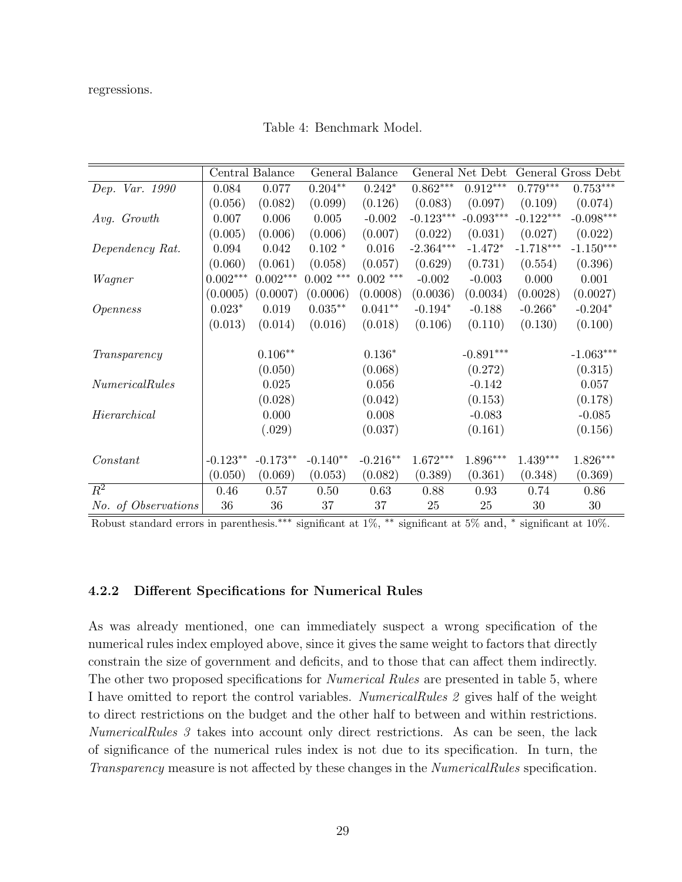regressions.

|                     |            | Central Balance |             | General Balance |             | General Net Debt |             | General Gross Debt     |
|---------------------|------------|-----------------|-------------|-----------------|-------------|------------------|-------------|------------------------|
| Dep. Var. 1990      | 0.084      | 0.077           | $0.204***$  | $0.242*$        | $0.862***$  | $0.912***$       | $0.779***$  | $0.753***$             |
|                     | (0.056)    | (0.082)         | (0.099)     | (0.126)         | (0.083)     | (0.097)          | (0.109)     | (0.074)                |
| Avg. Growth         | 0.007      | 0.006           | 0.005       | $-0.002$        | $-0.123***$ | $-0.093***$      | $-0.122***$ | $-0.098***$            |
|                     | (0.005)    | (0.006)         | (0.006)     | (0.007)         | (0.022)     | (0.031)          | (0.027)     | (0.022)                |
| Dependency Rat.     | 0.094      | 0.042           | $0.102*$    | 0.016           | $-2.364***$ | $-1.472*$        | $-1.718***$ | $\text{-}1.150^{***}$  |
|                     | (0.060)    | (0.061)         | (0.058)     | (0.057)         | (0.629)     | (0.731)          | (0.554)     | (0.396)                |
| Wagner              | $0.002***$ | $0.002***$      | $0.002$ *** | $0.002$ ***     | $-0.002$    | $-0.003$         | 0.000       | 0.001                  |
|                     | (0.0005)   | (0.0007)        | (0.0006)    | (0.0008)        | (0.0036)    | (0.0034)         | (0.0028)    | (0.0027)               |
| <i>Openness</i>     | $0.023*$   | 0.019           | $0.035***$  | $0.041**$       | $-0.194*$   | $-0.188$         | $-0.266*$   | $-0.204*$              |
|                     | (0.013)    | (0.014)         | (0.016)     | (0.018)         | (0.106)     | (0.110)          | (0.130)     | (0.100)                |
|                     |            |                 |             |                 |             |                  |             |                        |
| Transparency        |            | $0.106**$       |             | $0.136*$        |             | $-0.891***$      |             | $\text{-}1.063***$     |
|                     |            | (0.050)         |             | (0.068)         |             | (0.272)          |             | (0.315)                |
| Numerical Rules     |            | 0.025           |             | 0.056           |             | $-0.142$         |             | 0.057                  |
|                     |            | (0.028)         |             | (0.042)         |             | (0.153)          |             | (0.178)                |
| Hierarchical        |            | 0.000           |             | 0.008           |             | $-0.083$         |             | $-0.085$               |
|                     |            | (.029)          |             | (0.037)         |             | (0.161)          |             | (0.156)                |
|                     |            |                 |             |                 |             |                  |             |                        |
| Constant            | $-0.123**$ | $-0.173**$      | $-0.140**$  | $-0.216**$      | $1.672***$  | 1.896***         | $1.439***$  | $1.826^{\ast\ast\ast}$ |
|                     | (0.050)    | (0.069)         | (0.053)     | (0.082)         | (0.389)     | (0.361)          | (0.348)     | (0.369)                |
| $R^2$               | 0.46       | 0.57            | 0.50        | 0.63            | 0.88        | 0.93             | 0.74        | 0.86                   |
| No. of Observations | 36         | 36              | 37          | 37              | 25          | 25               | 30          | 30                     |

Table 4: Benchmark Model.

Robust standard errors in parenthesis.∗∗∗ significant at 1%, ∗∗ significant at 5% and, <sup>∗</sup> significant at 10%.

#### 4.2.2 Different Specifications for Numerical Rules

As was already mentioned, one can immediately suspect a wrong specification of the numerical rules index employed above, since it gives the same weight to factors that directly constrain the size of government and deficits, and to those that can affect them indirectly. The other two proposed specifications for *Numerical Rules* are presented in table 5, where I have omitted to report the control variables. NumericalRules 2 gives half of the weight to direct restrictions on the budget and the other half to between and within restrictions. NumericalRules 3 takes into account only direct restrictions. As can be seen, the lack of significance of the numerical rules index is not due to its specification. In turn, the Transparency measure is not affected by these changes in the NumericalRules specification.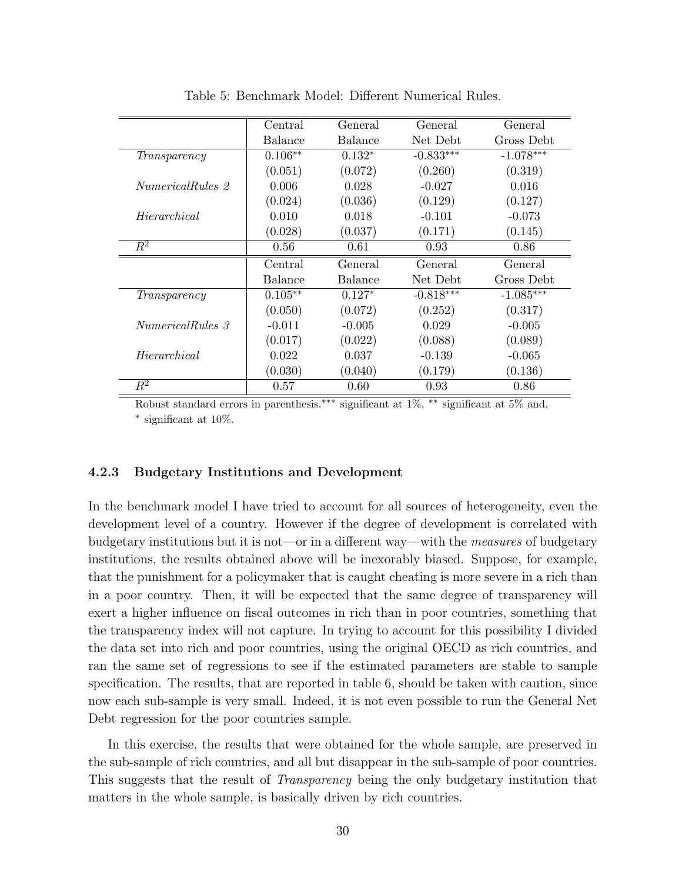|                         | Central   | General        | General     | General     |
|-------------------------|-----------|----------------|-------------|-------------|
|                         | Balance   | Balance        | Net Debt    | Gross Debt  |
| Transparency            | $0.106**$ | $0.132*$       | $-0.833***$ | $-1.078***$ |
|                         | (0.051)   | (0.072)        | (0.260)     | (0.319)     |
| <i>NumericalRules</i> 2 | 0.006     | 0.028          | $-0.027$    | 0.016       |
|                         | (0.024)   | (0.036)        | (0.129)     | (0.127)     |
| Hierarchical            | 0.010     | 0.018          | $-0.101$    | $-0.073$    |
|                         | (0.028)   | (0.037)        | (0.171)     | (0.145)     |
| $\overline{R^2}$        | 0.56      | 0.61           | 0.93        | 0.86        |
|                         | Central   | <b>General</b> | General     | General     |
|                         | Balance   | Balance        | Net Debt    | Gross Debt  |
| Transparency            | $0.105**$ | $0.127*$       | $-0.818***$ | $-1.085***$ |
|                         | (0.050)   | (0.072)        | (0.252)     | (0.317)     |
| <i>NumericalRules</i> 3 | $-0.011$  | $-0.005$       | 0.029       | $-0.005$    |
|                         | (0.017)   | (0.022)        | (0.088)     | (0.089)     |
| Hierarchical            | 0.022     | 0.037          | $-0.139$    | $-0.065$    |
|                         | (0.030)   | (0.040)        | (0.179)     | (0.136)     |
| $\,R^2$                 | 0.57      | 0.60           | 0.93        | 0.86        |

Table 5: Benchmark Model: Different Numerical Rules.

Robust standard errors in parenthesis.∗∗∗ significant at 1%, ∗∗ significant at 5% and, ∗ significant at 10%.

#### 4.2.3 Budgetary Institutions and Development

In the benchmark model I have tried to account for all sources of heterogeneity, even the development level of a country. However if the degree of development is correlated with budgetary institutions but it is not—or in a different way—with the measures of budgetary institutions, the results obtained above will be inexorably biased. Suppose, for example, that the punishment for a policymaker that is caught cheating is more severe in a rich than in a poor country. Then, it will be expected that the same degree of transparency will exert a higher influence on fiscal outcomes in rich than in poor countries, something that the transparency index will not capture. In trying to account for this possibility I divided the data set into rich and poor countries, using the original OECD as rich countries, and ran the same set of regressions to see if the estimated parameters are stable to sample specification. The results, that are reported in table 6, should be taken with caution, since now each sub-sample is very small. Indeed, it is not even possible to run the General Net Debt regression for the poor countries sample.

In this exercise, the results that were obtained for the whole sample, are preserved in the sub-sample of rich countries, and all but disappear in the sub-sample of poor countries. This suggests that the result of Transparency being the only budgetary institution that matters in the whole sample, is basically driven by rich countries.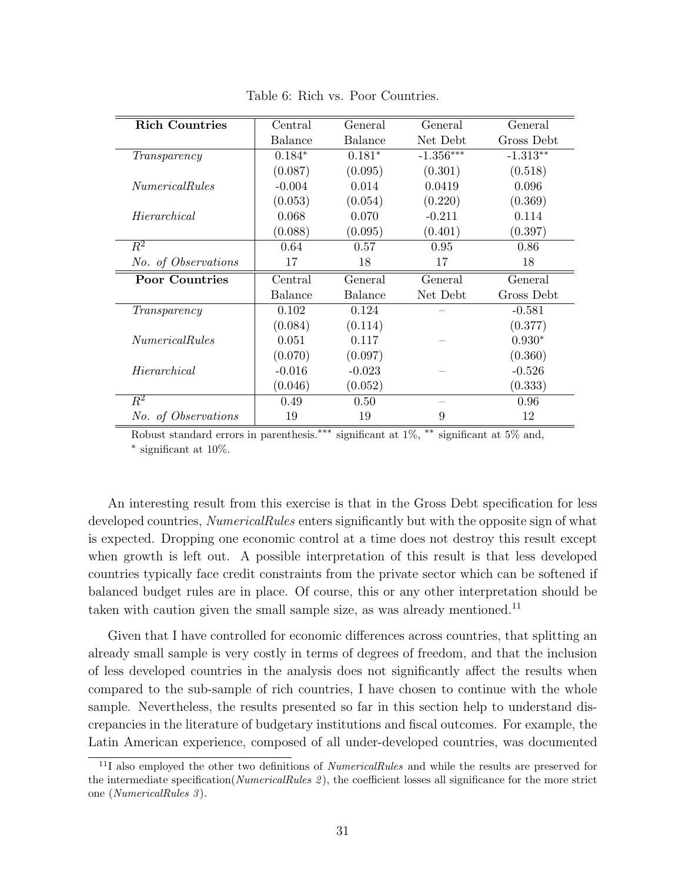| <b>Rich Countries</b> | Central        | General  | General     | General    |
|-----------------------|----------------|----------|-------------|------------|
|                       | <b>Balance</b> | Balance  | Net Debt    | Gross Debt |
| Transparency          | $0.184*$       | $0.181*$ | $-1.356***$ | $-1.313**$ |
|                       | (0.087)        | (0.095)  | (0.301)     | (0.518)    |
| <i>NumericalRules</i> | $-0.004$       | 0.014    | 0.0419      | 0.096      |
|                       | (0.053)        | (0.054)  | (0.220)     | (0.369)    |
| Hierarchical          | 0.068          | 0.070    | $-0.211$    | 0.114      |
|                       | (0.088)        | (0.095)  | (0.401)     | (0.397)    |
| $\overline{R^2}$      | 0.64           | 0.57     | 0.95        | 0.86       |
| No. of Observations   | 17             | 18       | 17          | 18         |
| <b>Poor Countries</b> | Central        | General  | General     | General    |
|                       | Balance        | Balance  | Net Debt    | Gross Debt |
| Transparency          | 0.102          | 0.124    |             | $-0.581$   |
|                       | (0.084)        | (0.114)  |             | (0.377)    |
| <i>NumericalRules</i> | 0.051          | 0.117    |             | $0.930*$   |
|                       | (0.070)        | (0.097)  |             | (0.360)    |
| Hierarchical          | $-0.016$       | $-0.023$ |             | $-0.526$   |
|                       | (0.046)        | (0.052)  |             | (0.333)    |
| $\overline{R^2}$      | 0.49           | 0.50     |             | 0.96       |
| No. of Observations   | 19             | 19       | 9           | 12         |

Table 6: Rich vs. Poor Countries.

Robust standard errors in parenthesis.∗∗∗ significant at 1%, ∗∗ significant at 5% and, ∗ significant at 10%.

An interesting result from this exercise is that in the Gross Debt specification for less developed countries, *NumericalRules* enters significantly but with the opposite sign of what is expected. Dropping one economic control at a time does not destroy this result except when growth is left out. A possible interpretation of this result is that less developed countries typically face credit constraints from the private sector which can be softened if balanced budget rules are in place. Of course, this or any other interpretation should be taken with caution given the small sample size, as was already mentioned.<sup>11</sup>

Given that I have controlled for economic differences across countries, that splitting an already small sample is very costly in terms of degrees of freedom, and that the inclusion of less developed countries in the analysis does not significantly affect the results when compared to the sub-sample of rich countries, I have chosen to continue with the whole sample. Nevertheless, the results presented so far in this section help to understand discrepancies in the literature of budgetary institutions and fiscal outcomes. For example, the Latin American experience, composed of all under-developed countries, was documented

 $11$ I also employed the other two definitions of *NumericalRules* and while the results are preserved for the intermediate specification( $NumericalRules$ ), the coefficient losses all significance for the more strict one (NumericalRules 3 ).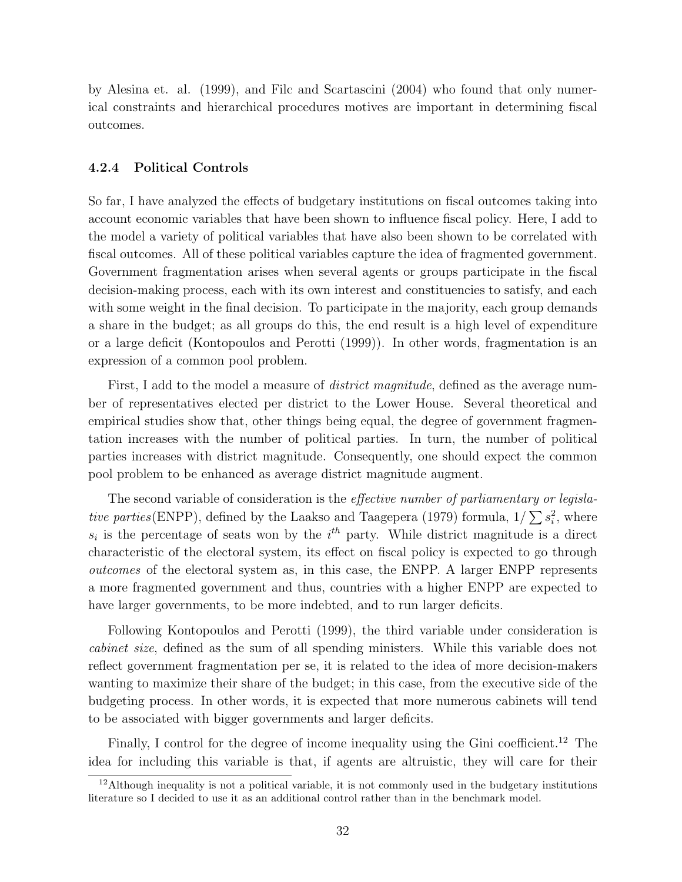by Alesina et. al. (1999), and Filc and Scartascini (2004) who found that only numerical constraints and hierarchical procedures motives are important in determining fiscal outcomes.

#### 4.2.4 Political Controls

So far, I have analyzed the effects of budgetary institutions on fiscal outcomes taking into account economic variables that have been shown to influence fiscal policy. Here, I add to the model a variety of political variables that have also been shown to be correlated with fiscal outcomes. All of these political variables capture the idea of fragmented government. Government fragmentation arises when several agents or groups participate in the fiscal decision-making process, each with its own interest and constituencies to satisfy, and each with some weight in the final decision. To participate in the majority, each group demands a share in the budget; as all groups do this, the end result is a high level of expenditure or a large deficit (Kontopoulos and Perotti (1999)). In other words, fragmentation is an expression of a common pool problem.

First, I add to the model a measure of *district magnitude*, defined as the average number of representatives elected per district to the Lower House. Several theoretical and empirical studies show that, other things being equal, the degree of government fragmentation increases with the number of political parties. In turn, the number of political parties increases with district magnitude. Consequently, one should expect the common pool problem to be enhanced as average district magnitude augment.

The second variable of consideration is the *effective number of parliamentary or legisla*-The second variable of consideration is the effective *hander of partiamentary or tegista-*<br>tive parties(ENPP), defined by the Laakso and Taagepera (1979) formula,  $1/\sum s_i^2$ , where  $s_i$  is the percentage of seats won by the  $i^{th}$  party. While district magnitude is a direct characteristic of the electoral system, its effect on fiscal policy is expected to go through outcomes of the electoral system as, in this case, the ENPP. A larger ENPP represents a more fragmented government and thus, countries with a higher ENPP are expected to have larger governments, to be more indebted, and to run larger deficits.

Following Kontopoulos and Perotti (1999), the third variable under consideration is cabinet size, defined as the sum of all spending ministers. While this variable does not reflect government fragmentation per se, it is related to the idea of more decision-makers wanting to maximize their share of the budget; in this case, from the executive side of the budgeting process. In other words, it is expected that more numerous cabinets will tend to be associated with bigger governments and larger deficits.

Finally, I control for the degree of income inequality using the Gini coefficient.<sup>12</sup> The idea for including this variable is that, if agents are altruistic, they will care for their

 $12$ Although inequality is not a political variable, it is not commonly used in the budgetary institutions literature so I decided to use it as an additional control rather than in the benchmark model.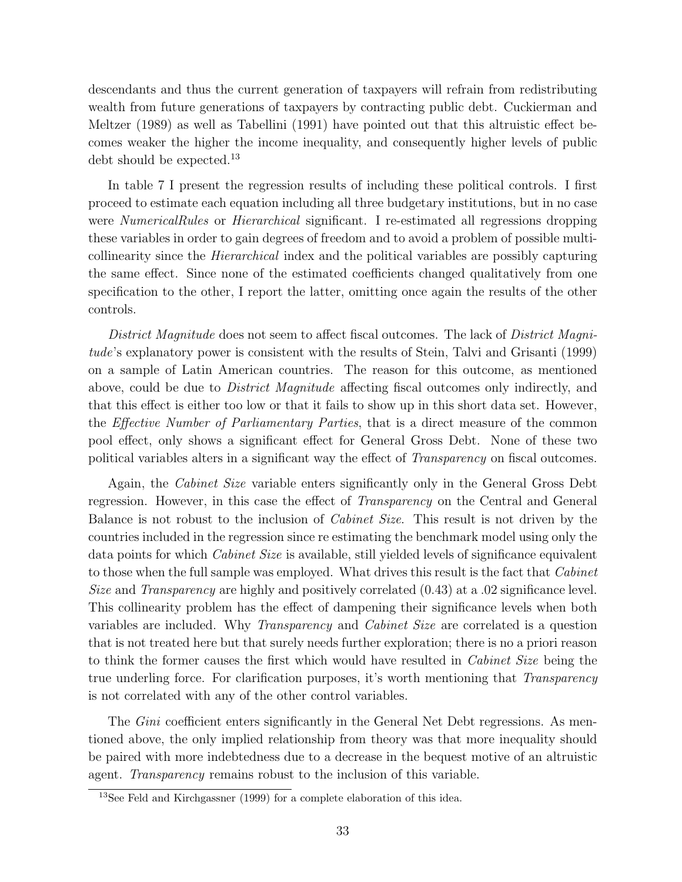descendants and thus the current generation of taxpayers will refrain from redistributing wealth from future generations of taxpayers by contracting public debt. Cuckierman and Meltzer (1989) as well as Tabellini (1991) have pointed out that this altruistic effect becomes weaker the higher the income inequality, and consequently higher levels of public debt should be expected.<sup>13</sup>

In table 7 I present the regression results of including these political controls. I first proceed to estimate each equation including all three budgetary institutions, but in no case were *NumericalRules* or *Hierarchical* significant. I re-estimated all regressions dropping these variables in order to gain degrees of freedom and to avoid a problem of possible multicollinearity since the Hierarchical index and the political variables are possibly capturing the same effect. Since none of the estimated coefficients changed qualitatively from one specification to the other, I report the latter, omitting once again the results of the other controls.

District Magnitude does not seem to affect fiscal outcomes. The lack of District Magnitude's explanatory power is consistent with the results of Stein, Talvi and Grisanti (1999) on a sample of Latin American countries. The reason for this outcome, as mentioned above, could be due to *District Magnitude* affecting fiscal outcomes only indirectly, and that this effect is either too low or that it fails to show up in this short data set. However, the Effective Number of Parliamentary Parties, that is a direct measure of the common pool effect, only shows a significant effect for General Gross Debt. None of these two political variables alters in a significant way the effect of *Transparency* on fiscal outcomes.

Again, the Cabinet Size variable enters significantly only in the General Gross Debt regression. However, in this case the effect of *Transparency* on the Central and General Balance is not robust to the inclusion of Cabinet Size. This result is not driven by the countries included in the regression since re estimating the benchmark model using only the data points for which *Cabinet Size* is available, still yielded levels of significance equivalent to those when the full sample was employed. What drives this result is the fact that *Cabinet* Size and *Transparency* are highly and positively correlated  $(0.43)$  at a  $.02$  significance level. This collinearity problem has the effect of dampening their significance levels when both variables are included. Why *Transparency* and *Cabinet Size* are correlated is a question that is not treated here but that surely needs further exploration; there is no a priori reason to think the former causes the first which would have resulted in *Cabinet Size* being the true underling force. For clarification purposes, it's worth mentioning that Transparency is not correlated with any of the other control variables.

The *Gini* coefficient enters significantly in the General Net Debt regressions. As mentioned above, the only implied relationship from theory was that more inequality should be paired with more indebtedness due to a decrease in the bequest motive of an altruistic agent. Transparency remains robust to the inclusion of this variable.

<sup>13</sup>See Feld and Kirchgassner (1999) for a complete elaboration of this idea.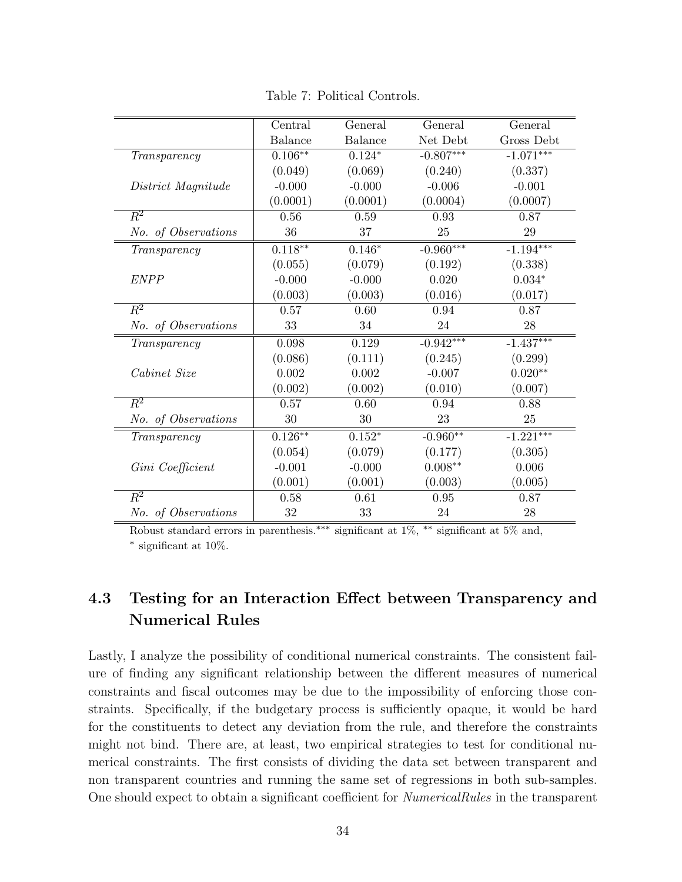Table 7: Political Controls.

|                     | Central        | General        | General     | General            |
|---------------------|----------------|----------------|-------------|--------------------|
|                     | <b>Balance</b> | <b>Balance</b> | Net Debt    | Gross Debt         |
| Transparency        | $0.106**$      | $0.124*$       | $-0.807***$ | $-1.071***$        |
|                     | (0.049)        | (0.069)        | (0.240)     | (0.337)            |
| District Magnitude  | $-0.000$       | $-0.000$       | $-0.006$    | $-0.001$           |
|                     | (0.0001)       | (0.0001)       | (0.0004)    | (0.0007)           |
| $\overline{R^2}$    | 0.56           | 0.59           | 0.93        | 0.87               |
| No. of Observations | 36             | 37             | 25          | 29                 |
| Transparency        | $0.118***$     | $0.146*$       | $-0.960***$ | $-1.194***$        |
|                     | (0.055)        | (0.079)        | (0.192)     | (0.338)            |
| <b>ENPP</b>         | $-0.000$       | $-0.000$       | 0.020       | $0.034*$           |
|                     | (0.003)        | (0.003)        | (0.016)     | (0.017)            |
| $\overline{R^2}$    | 0.57           | 0.60           | 0.94        | 0.87               |
| No. of Observations | 33             | 34             | 24          | 28                 |
| Transparency        | 0.098          | 0.129          | $-0.942***$ | $-1.437***$        |
|                     | (0.086)        | (0.111)        | (0.245)     | (0.299)            |
| Cabinet Size        | 0.002          | 0.002          | $-0.007$    | $0.020^{\ast\ast}$ |
|                     | (0.002)        | (0.002)        | (0.010)     | (0.007)            |
| $\overline{R^2}$    | 0.57           | 0.60           | 0.94        | 0.88               |
| No. of Observations | 30             | 30             | 23          | 25                 |
| Transparency        | $0.126**$      | $0.152*$       | $-0.960**$  | $-1.221***$        |
|                     | (0.054)        | (0.079)        | (0.177)     | (0.305)            |
| Gini Coefficient    | $-0.001$       | $-0.000$       | $0.008**$   | 0.006              |
|                     | (0.001)        | (0.001)        | (0.003)     | (0.005)            |
| $\overline{R^2}$    | 0.58           | 0.61           | 0.95        | 0.87               |
| No. of Observations | 32             | 33             | 24          | 28                 |

Robust standard errors in parenthesis.<sup>∗∗∗</sup> significant at 1%, <sup>∗∗</sup> significant at 5% and, ∗ significant at 10%.

# 4.3 Testing for an Interaction Effect between Transparency and Numerical Rules

Lastly, I analyze the possibility of conditional numerical constraints. The consistent failure of finding any significant relationship between the different measures of numerical constraints and fiscal outcomes may be due to the impossibility of enforcing those constraints. Specifically, if the budgetary process is sufficiently opaque, it would be hard for the constituents to detect any deviation from the rule, and therefore the constraints might not bind. There are, at least, two empirical strategies to test for conditional numerical constraints. The first consists of dividing the data set between transparent and non transparent countries and running the same set of regressions in both sub-samples. One should expect to obtain a significant coefficient for NumericalRules in the transparent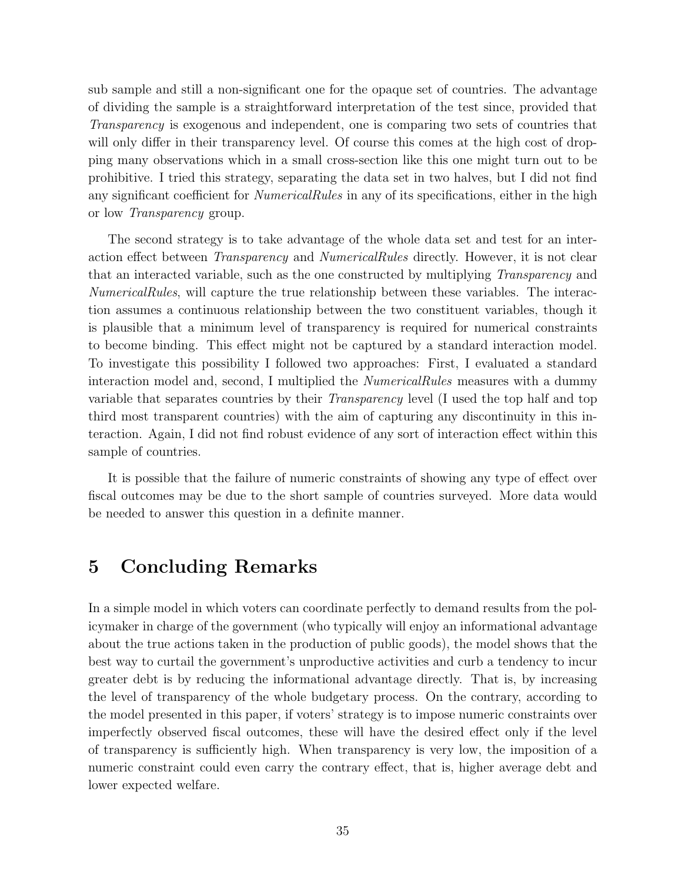sub sample and still a non-significant one for the opaque set of countries. The advantage of dividing the sample is a straightforward interpretation of the test since, provided that Transparency is exogenous and independent, one is comparing two sets of countries that will only differ in their transparency level. Of course this comes at the high cost of dropping many observations which in a small cross-section like this one might turn out to be prohibitive. I tried this strategy, separating the data set in two halves, but I did not find any significant coefficient for *NumericalRules* in any of its specifications, either in the high or low Transparency group.

The second strategy is to take advantage of the whole data set and test for an interaction effect between Transparency and NumericalRules directly. However, it is not clear that an interacted variable, such as the one constructed by multiplying Transparency and NumericalRules, will capture the true relationship between these variables. The interaction assumes a continuous relationship between the two constituent variables, though it is plausible that a minimum level of transparency is required for numerical constraints to become binding. This effect might not be captured by a standard interaction model. To investigate this possibility I followed two approaches: First, I evaluated a standard interaction model and, second, I multiplied the *NumericalRules* measures with a dummy variable that separates countries by their Transparency level (I used the top half and top third most transparent countries) with the aim of capturing any discontinuity in this interaction. Again, I did not find robust evidence of any sort of interaction effect within this sample of countries.

It is possible that the failure of numeric constraints of showing any type of effect over fiscal outcomes may be due to the short sample of countries surveyed. More data would be needed to answer this question in a definite manner.

# 5 Concluding Remarks

In a simple model in which voters can coordinate perfectly to demand results from the policymaker in charge of the government (who typically will enjoy an informational advantage about the true actions taken in the production of public goods), the model shows that the best way to curtail the government's unproductive activities and curb a tendency to incur greater debt is by reducing the informational advantage directly. That is, by increasing the level of transparency of the whole budgetary process. On the contrary, according to the model presented in this paper, if voters' strategy is to impose numeric constraints over imperfectly observed fiscal outcomes, these will have the desired effect only if the level of transparency is sufficiently high. When transparency is very low, the imposition of a numeric constraint could even carry the contrary effect, that is, higher average debt and lower expected welfare.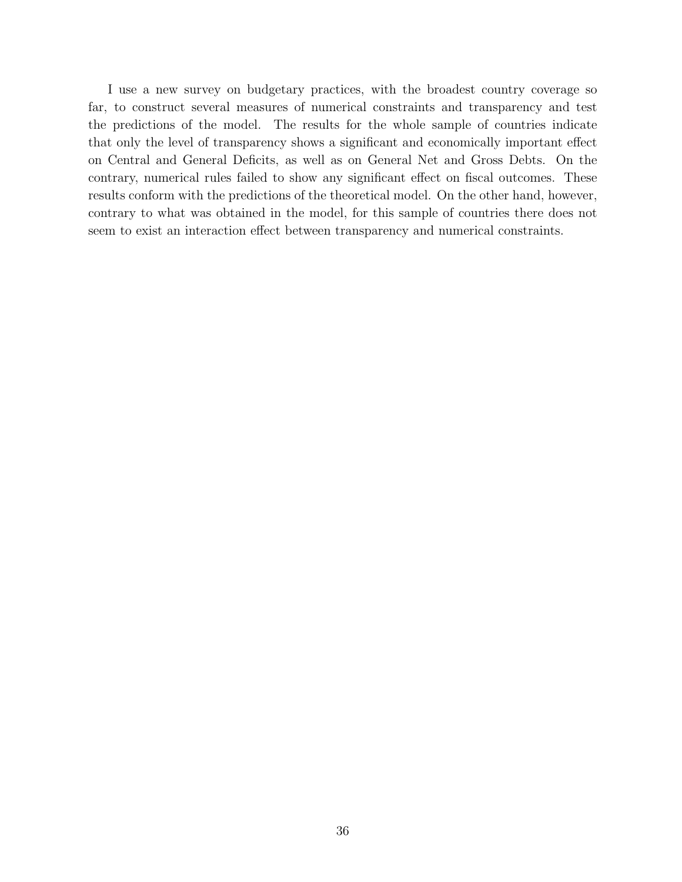I use a new survey on budgetary practices, with the broadest country coverage so far, to construct several measures of numerical constraints and transparency and test the predictions of the model. The results for the whole sample of countries indicate that only the level of transparency shows a significant and economically important effect on Central and General Deficits, as well as on General Net and Gross Debts. On the contrary, numerical rules failed to show any significant effect on fiscal outcomes. These results conform with the predictions of the theoretical model. On the other hand, however, contrary to what was obtained in the model, for this sample of countries there does not seem to exist an interaction effect between transparency and numerical constraints.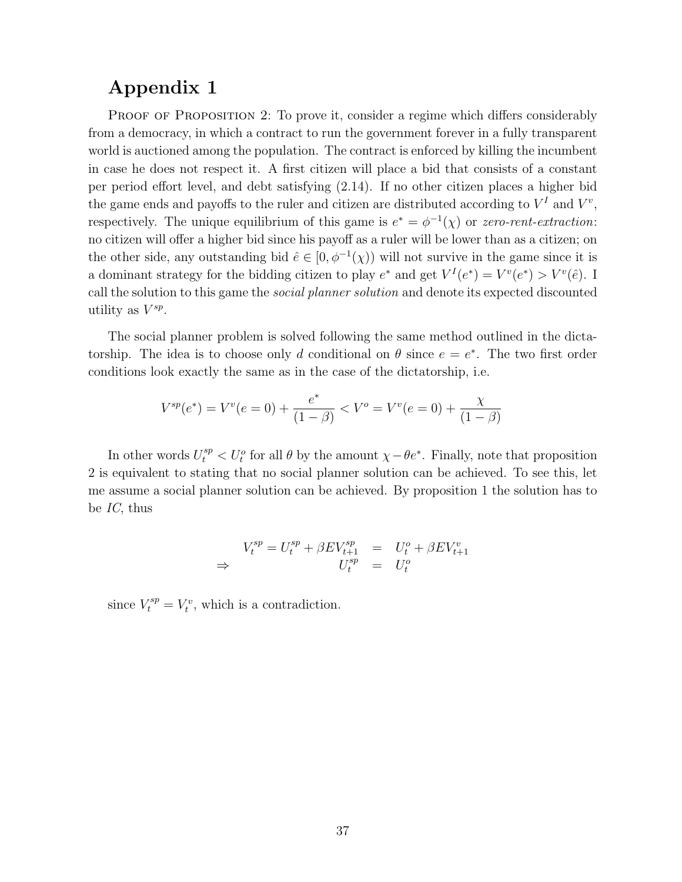# Appendix 1

PROOF OF PROPOSITION 2: To prove it, consider a regime which differs considerably from a democracy, in which a contract to run the government forever in a fully transparent world is auctioned among the population. The contract is enforced by killing the incumbent in case he does not respect it. A first citizen will place a bid that consists of a constant per period effort level, and debt satisfying (2.14). If no other citizen places a higher bid the game ends and payoffs to the ruler and citizen are distributed according to  $V^I$  and  $V^v$ , respectively. The unique equilibrium of this game is  $e^* = \phi^{-1}(\chi)$  or zero-rent-extraction: no citizen will offer a higher bid since his payoff as a ruler will be lower than as a citizen; on the other side, any outstanding bid  $\hat{e} \in [0, \phi^{-1}(\chi))$  will not survive in the game since it is a dominant strategy for the bidding citizen to play  $e^*$  and get  $V^I(e^*) = V^v(e^*) > V^v(\hat{e})$ . I call the solution to this game the social planner solution and denote its expected discounted utility as  $V^{sp}$ .

The social planner problem is solved following the same method outlined in the dictatorship. The idea is to choose only d conditional on  $\theta$  since  $e = e^*$ . The two first order conditions look exactly the same as in the case of the dictatorship, i.e.

$$
V^{sp}(e^*) = V^v(e=0) + \frac{e^*}{(1-\beta)} < V^o = V^v(e=0) + \frac{\chi}{(1-\beta)}
$$

In other words  $U_t^{sp} < U_t^o$  for all  $\theta$  by the amount  $\chi - \theta e^*$ . Finally, note that proposition 2 is equivalent to stating that no social planner solution can be achieved. To see this, let me assume a social planner solution can be achieved. By proposition 1 the solution has to be IC, thus

$$
V_t^{sp} = U_t^{sp} + \beta EV_{t+1}^{sp} = U_t^o + \beta EV_{t+1}^v
$$
  
\n
$$
\Rightarrow \qquad \qquad U_t^{sp} = U_t^o
$$

since  $V_t^{sp} = V_t^v$ , which is a contradiction.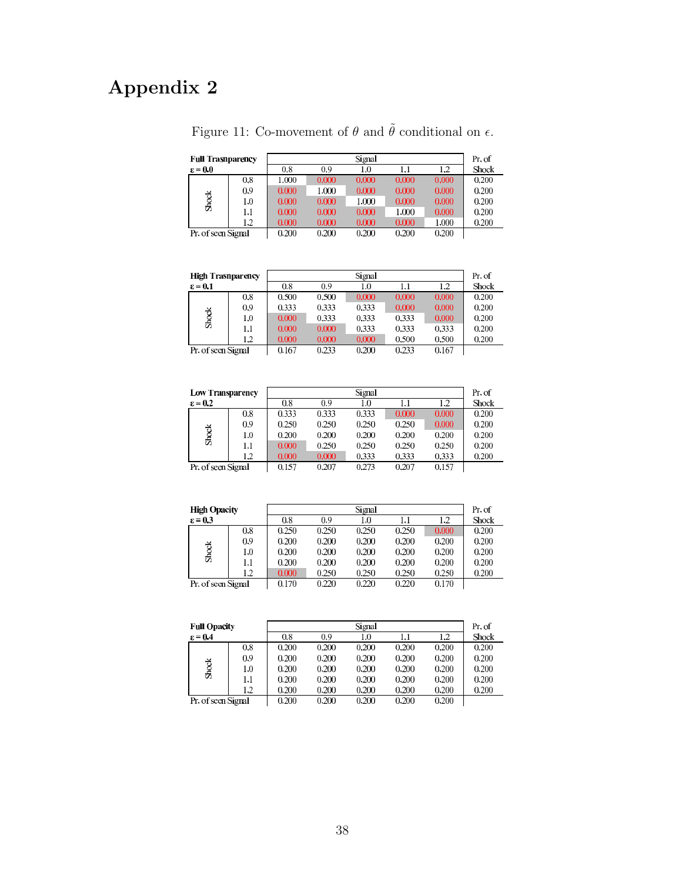# Appendix 2

| <b>Full Trasnparency</b> |     |       |       | Signal |       |       | Pr. of       |
|--------------------------|-----|-------|-------|--------|-------|-------|--------------|
| $\varepsilon = 0.0$      |     | 0.8   | 0.9   | 1.0    | 1.1   | 1.2   | <b>Shock</b> |
|                          | 0.8 | 1.000 | 0.000 | 0.000  | 0.000 | 0.000 | 0.200        |
|                          | 0.9 | 0.000 | 1.000 | 0.000  | 0.000 | 0.000 | 0.200        |
| <b>Shock</b>             | 1.0 | 0.000 | 0.000 | 1.000  | 0.000 | 0.000 | 0.200        |
|                          | 1.1 | 0.000 | 0.000 | 0.000  | 1.000 | 0.000 | 0.200        |
|                          | 1.2 | 0.000 | 0.000 | 0.000  | 0.000 | 1.000 | 0.200        |
| Pr. of seen Signal       |     | 0.200 | 0.200 | 0.200  | 0.200 | 0.200 |              |
|                          |     |       |       |        |       |       |              |

Figure 11: Co-movement of  $\theta$  and  $\tilde{\theta}$  conditional on  $\epsilon.$ 

| <b>High Trasnparency</b> |     |       | Pr. of |       |         |       |              |
|--------------------------|-----|-------|--------|-------|---------|-------|--------------|
| $\epsilon = 0.1$         |     | 0.8   | 0.9    | 1.0   | $1.1\,$ | 1.2   | <b>Shock</b> |
|                          | 0.8 | 0.500 | 0.500  | 0.000 | 0.000   | 0.000 | 0.200        |
|                          | 0.9 | 0.333 | 0.333  | 0.333 | 0.000   | 0.000 | 0.200        |
| <b>Shock</b>             | 1.0 | 0.000 | 0.333  | 0.333 | 0.333   | 0.000 | 0.200        |
|                          | 1.1 | 0.000 | 0.000  | 0.333 | 0.333   | 0.333 | 0.200        |
|                          | 1.2 | 0.000 | 0.000  | 0.000 | 0.500   | 0.500 | 0.200        |
| Pr. of seen Signal       |     | 0.167 | 0.233  | 0.200 | 0.233   | 0.167 |              |
|                          |     |       |        |       |         |       |              |

| <b>Low Transparency</b> |          | Signal |       |       |       |       |              |
|-------------------------|----------|--------|-------|-------|-------|-------|--------------|
| $\epsilon = 0.2$        |          | 0.8    | 0.9   | 1.0   | 1.1   | 1.2   | <b>Shock</b> |
|                         | 0.8      | 0.333  | 0.333 | 0.333 | 0.000 | 0.000 | 0.200        |
|                         | 0.9      | 0.250  | 0.250 | 0.250 | 0.250 | 0.000 | 0.200        |
| Shock                   | $_{1.0}$ | 0.200  | 0.200 | 0.200 | 0.200 | 0.200 | 0.200        |
|                         | 1.1      | 0.000  | 0.250 | 0.250 | 0.250 | 0.250 | 0.200        |
|                         | 1.2      | 0.000  | 0.000 | 0.333 | 0.333 | 0.333 | 0.200        |
| Pr. of seen Signal      |          | 0.157  | 0.207 | 0.273 | 0.207 | 0.157 |              |

| <b>High Opacity</b> |     |       | Pr. of |         |       |       |              |
|---------------------|-----|-------|--------|---------|-------|-------|--------------|
| $\epsilon = 0.3$    |     | 0.8   | 0.9    | $1.0\,$ | 1.1   | 1.2   | <b>Shock</b> |
|                     | 0.8 | 0.250 | 0.250  | 0.250   | 0.250 | 0.000 | 0.200        |
|                     | 0.9 | 0.200 | 0.200  | 0.200   | 0.200 | 0.200 | 0.200        |
| Shock               | 1.0 | 0.200 | 0.200  | 0.200   | 0.200 | 0.200 | 0.200        |
|                     | 1.1 | 0.200 | 0.200  | 0.200   | 0.200 | 0.200 | 0.200        |
|                     | 1.2 | 0.000 | 0.250  | 0.250   | 0.250 | 0.250 | 0.200        |
| Pr. of seen Signal  |     | 0.170 | 0.220  | 0.220   | 0.220 | 0.170 |              |

| <b>Full Opacity</b> |     | Signal |       |          |       |       |              |
|---------------------|-----|--------|-------|----------|-------|-------|--------------|
| $\epsilon = 0.4$    |     | 0.8    | 0.9   | $_{1.0}$ | 1.1   | 1.2   | <b>Shock</b> |
|                     | 0.8 | 0.200  | 0.200 | 0.200    | 0.200 | 0.200 | 0.200        |
|                     | 0.9 | 0.200  | 0.200 | 0.200    | 0.200 | 0.200 | 0.200        |
| <b>Shock</b>        | 1.0 | 0.200  | 0.200 | 0.200    | 0.200 | 0.200 | 0.200        |
|                     | 1.1 | 0.200  | 0.200 | 0.200    | 0.200 | 0.200 | 0.200        |
|                     | 1.2 | 0.200  | 0.200 | 0.200    | 0.200 | 0.200 | 0.200        |
| Pr. of seen Signal  |     | 0.200  | 0.200 | 0.200    | 0.200 | 0.200 |              |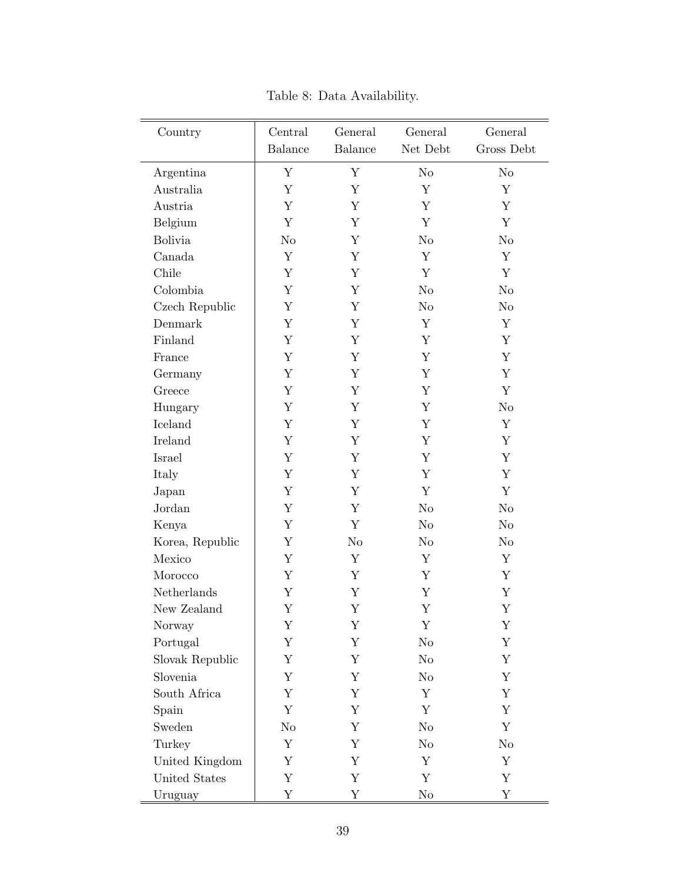| Country         | Central        | General        | General        | General        |
|-----------------|----------------|----------------|----------------|----------------|
|                 | <b>Balance</b> | <b>Balance</b> | Net Debt       | Gross Debt     |
| Argentina       | $\mathbf Y$    | $\mathbf Y$    | N <sub>o</sub> | No             |
| Australia       | Y              | Y              | Y              | Y              |
| Austria         | $\mathbf Y$    | Y              | Y              | Y              |
| Belgium         | Y              | Y              | Y              | Υ              |
| <b>Bolivia</b>  | $\rm No$       | Y              | $\rm No$       | $\rm No$       |
| Canada          | Y              | Y              | Y              | Y              |
| Chile           | Y              | Y              | Y              | Y              |
| Colombia        | Y              | Y              | $\rm No$       | No             |
| Czech Republic  | Y              | Y              | No             | $\rm No$       |
| Denmark         | Y              | Y              | Y              | Y              |
| Finland         | $\mathbf Y$    | Y              | Y              | Y              |
| France          | Y              | Y              | Y              | Y              |
| Germany         | Y              | Y              | Y              | Y              |
| Greece          | Y              | Y              | Y              | Y              |
| Hungary         | $\mathbf Y$    | Y              | Y              | No             |
| Iceland         | Y              | Y              | Y              | Y              |
| Ireland         | Y              | Y              | Y              | Y              |
| Israel          | Y              | Y              | Y              | Y              |
| Italy           | $\mathbf Y$    | Y              | Y              | Y              |
| Japan           | Y              | Y              | Y              | Y              |
| Jordan          | Y              | Y              | $\rm No$       | No             |
| Kenya           | $\mathbf Y$    | $\mathbf Y$    | N <sub>o</sub> | N <sub>o</sub> |
| Korea, Republic | Y              | No             | No             | $\rm No$       |
| Mexico          | Y              | Y              | Y              | Y              |
| Morocco         | Υ              | Y              | Y              | Y              |
| Netherlands     | $\mathbf Y$    | Y              | Y              | Y              |
| New Zealand     | Y              | Υ              | Y              | Y              |
| Norway          | Y              | Y              | Y              | Υ              |
| Portugal        | Υ              | Y              | No             | Υ              |
| Slovak Republic | Y              | Y              | N <sub>o</sub> | Υ              |
| Slovenia        | Y              | Y              | No             | Υ              |
| South Africa    | Y              | Y              | Y              | Y              |
| Spain           | Y              | Y              | Y              | Y              |
| Sweden          | No             | Y              | No             | Y              |
| Turkey          | Y              | Y              | No             | No             |
| United Kingdom  | Y              | Y              | Y              | Y              |
| United States   | Y              | Y              | Y              | Υ              |
| Uruguay         | $\mathbf Y$    | Y              | $\rm No$       | Υ              |

Table 8: Data Availability.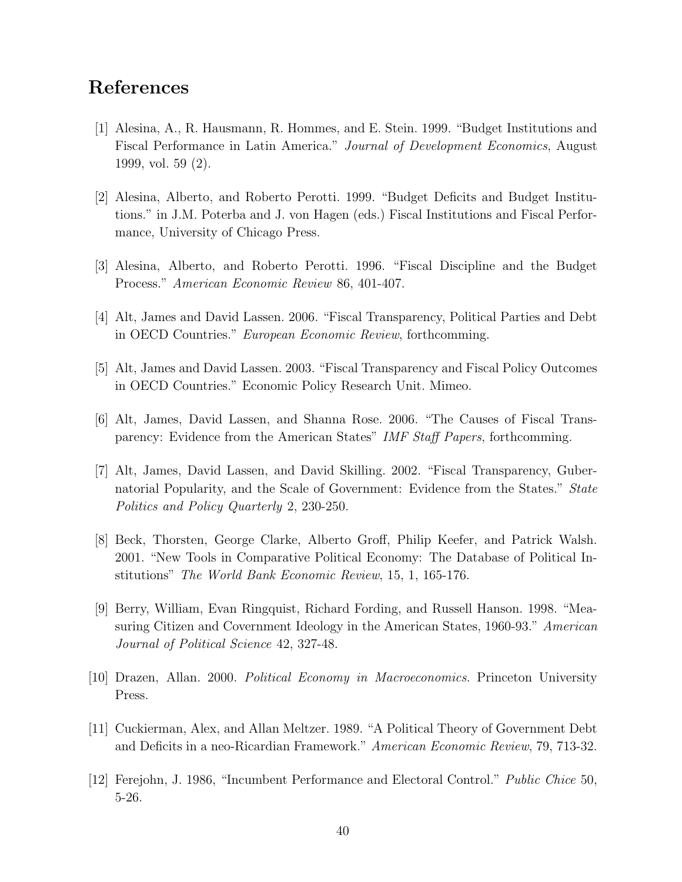# References

- [1] Alesina, A., R. Hausmann, R. Hommes, and E. Stein. 1999. "Budget Institutions and Fiscal Performance in Latin America." Journal of Development Economics, August 1999, vol. 59 (2).
- [2] Alesina, Alberto, and Roberto Perotti. 1999. "Budget Deficits and Budget Institutions." in J.M. Poterba and J. von Hagen (eds.) Fiscal Institutions and Fiscal Performance, University of Chicago Press.
- [3] Alesina, Alberto, and Roberto Perotti. 1996. "Fiscal Discipline and the Budget Process." American Economic Review 86, 401-407.
- [4] Alt, James and David Lassen. 2006. "Fiscal Transparency, Political Parties and Debt in OECD Countries." European Economic Review, forthcomming.
- [5] Alt, James and David Lassen. 2003. "Fiscal Transparency and Fiscal Policy Outcomes in OECD Countries." Economic Policy Research Unit. Mimeo.
- [6] Alt, James, David Lassen, and Shanna Rose. 2006. "The Causes of Fiscal Transparency: Evidence from the American States" IMF Staff Papers, forthcomming.
- [7] Alt, James, David Lassen, and David Skilling. 2002. "Fiscal Transparency, Gubernatorial Popularity, and the Scale of Government: Evidence from the States." State Politics and Policy Quarterly 2, 230-250.
- [8] Beck, Thorsten, George Clarke, Alberto Groff, Philip Keefer, and Patrick Walsh. 2001. "New Tools in Comparative Political Economy: The Database of Political Institutions" The World Bank Economic Review, 15, 1, 165-176.
- [9] Berry, William, Evan Ringquist, Richard Fording, and Russell Hanson. 1998. "Measuring Citizen and Covernment Ideology in the American States, 1960-93." American Journal of Political Science 42, 327-48.
- [10] Drazen, Allan. 2000. Political Economy in Macroeconomics. Princeton University Press.
- [11] Cuckierman, Alex, and Allan Meltzer. 1989. "A Political Theory of Government Debt and Deficits in a neo-Ricardian Framework." American Economic Review, 79, 713-32.
- [12] Ferejohn, J. 1986, "Incumbent Performance and Electoral Control." Public Chice 50, 5-26.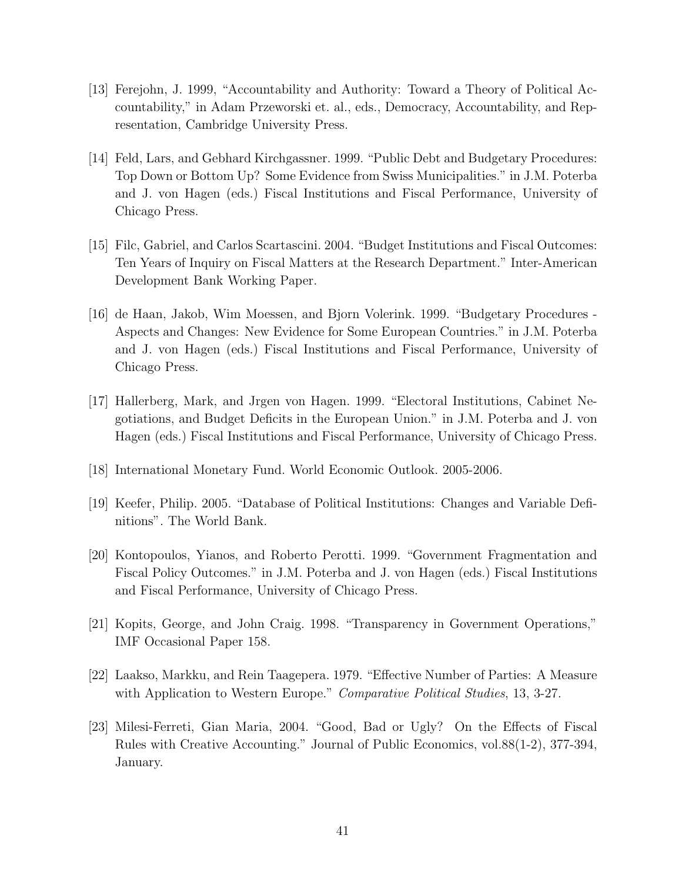- [13] Ferejohn, J. 1999, "Accountability and Authority: Toward a Theory of Political Accountability," in Adam Przeworski et. al., eds., Democracy, Accountability, and Representation, Cambridge University Press.
- [14] Feld, Lars, and Gebhard Kirchgassner. 1999. "Public Debt and Budgetary Procedures: Top Down or Bottom Up? Some Evidence from Swiss Municipalities." in J.M. Poterba and J. von Hagen (eds.) Fiscal Institutions and Fiscal Performance, University of Chicago Press.
- [15] Filc, Gabriel, and Carlos Scartascini. 2004. "Budget Institutions and Fiscal Outcomes: Ten Years of Inquiry on Fiscal Matters at the Research Department." Inter-American Development Bank Working Paper.
- [16] de Haan, Jakob, Wim Moessen, and Bjorn Volerink. 1999. "Budgetary Procedures Aspects and Changes: New Evidence for Some European Countries." in J.M. Poterba and J. von Hagen (eds.) Fiscal Institutions and Fiscal Performance, University of Chicago Press.
- [17] Hallerberg, Mark, and Jrgen von Hagen. 1999. "Electoral Institutions, Cabinet Negotiations, and Budget Deficits in the European Union." in J.M. Poterba and J. von Hagen (eds.) Fiscal Institutions and Fiscal Performance, University of Chicago Press.
- [18] International Monetary Fund. World Economic Outlook. 2005-2006.
- [19] Keefer, Philip. 2005. "Database of Political Institutions: Changes and Variable Definitions". The World Bank.
- [20] Kontopoulos, Yianos, and Roberto Perotti. 1999. "Government Fragmentation and Fiscal Policy Outcomes." in J.M. Poterba and J. von Hagen (eds.) Fiscal Institutions and Fiscal Performance, University of Chicago Press.
- [21] Kopits, George, and John Craig. 1998. "Transparency in Government Operations," IMF Occasional Paper 158.
- [22] Laakso, Markku, and Rein Taagepera. 1979. "Effective Number of Parties: A Measure with Application to Western Europe." Comparative Political Studies, 13, 3-27.
- [23] Milesi-Ferreti, Gian Maria, 2004. "Good, Bad or Ugly? On the Effects of Fiscal Rules with Creative Accounting." Journal of Public Economics, vol.88(1-2), 377-394, January.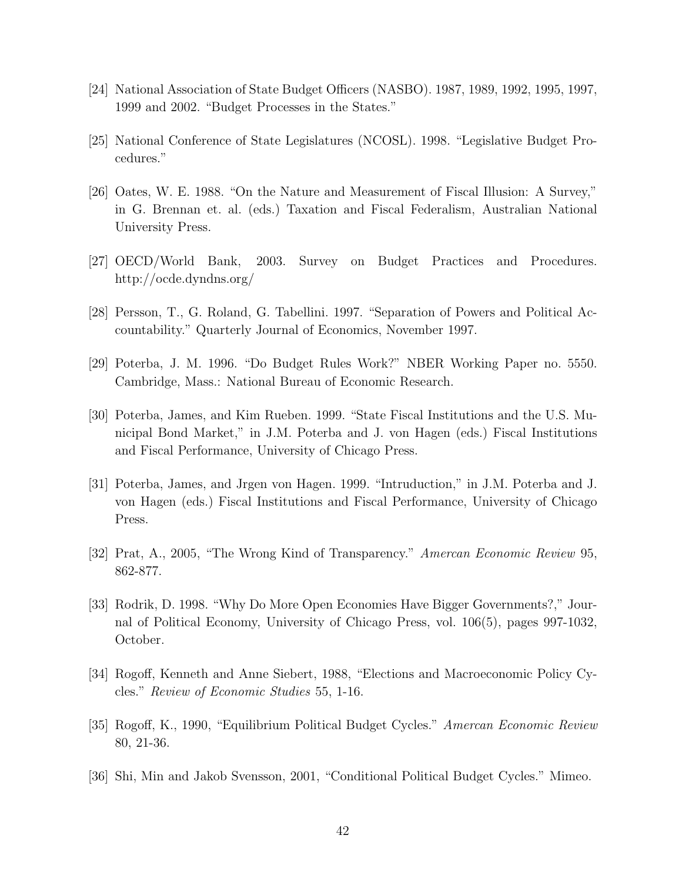- [24] National Association of State Budget Officers (NASBO). 1987, 1989, 1992, 1995, 1997, 1999 and 2002. "Budget Processes in the States."
- [25] National Conference of State Legislatures (NCOSL). 1998. "Legislative Budget Procedures."
- [26] Oates, W. E. 1988. "On the Nature and Measurement of Fiscal Illusion: A Survey," in G. Brennan et. al. (eds.) Taxation and Fiscal Federalism, Australian National University Press.
- [27] OECD/World Bank, 2003. Survey on Budget Practices and Procedures. http://ocde.dyndns.org/
- [28] Persson, T., G. Roland, G. Tabellini. 1997. "Separation of Powers and Political Accountability." Quarterly Journal of Economics, November 1997.
- [29] Poterba, J. M. 1996. "Do Budget Rules Work?" NBER Working Paper no. 5550. Cambridge, Mass.: National Bureau of Economic Research.
- [30] Poterba, James, and Kim Rueben. 1999. "State Fiscal Institutions and the U.S. Municipal Bond Market," in J.M. Poterba and J. von Hagen (eds.) Fiscal Institutions and Fiscal Performance, University of Chicago Press.
- [31] Poterba, James, and Jrgen von Hagen. 1999. "Intruduction," in J.M. Poterba and J. von Hagen (eds.) Fiscal Institutions and Fiscal Performance, University of Chicago Press.
- [32] Prat, A., 2005, "The Wrong Kind of Transparency." Amercan Economic Review 95, 862-877.
- [33] Rodrik, D. 1998. "Why Do More Open Economies Have Bigger Governments?," Journal of Political Economy, University of Chicago Press, vol. 106(5), pages 997-1032, October.
- [34] Rogoff, Kenneth and Anne Siebert, 1988, "Elections and Macroeconomic Policy Cycles." Review of Economic Studies 55, 1-16.
- [35] Rogoff, K., 1990, "Equilibrium Political Budget Cycles." Amercan Economic Review 80, 21-36.
- [36] Shi, Min and Jakob Svensson, 2001, "Conditional Political Budget Cycles." Mimeo.